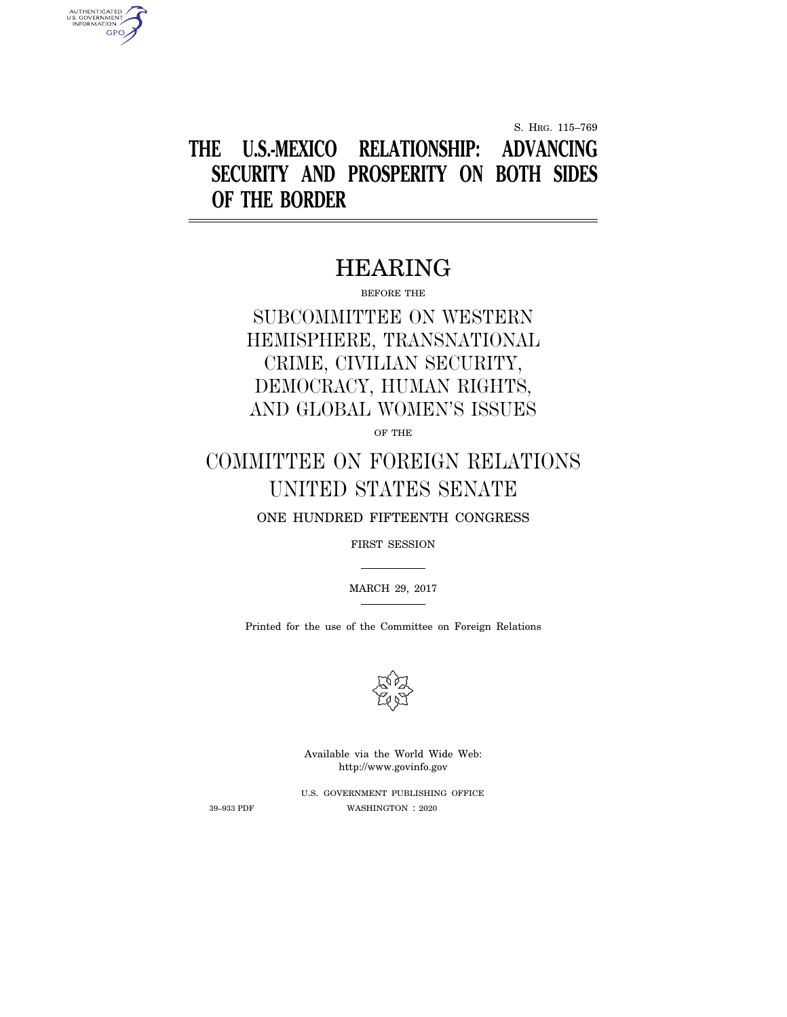S. HRG. 115–769

# **THE U.S.-MEXICO RELATIONSHIP: ADVANCING SECURITY AND PROSPERITY ON BOTH SIDES OF THE BORDER**

# HEARING

BEFORE THE

# SUBCOMMITTEE ON WESTERN HEMISPHERE, TRANSNATIONAL CRIME, CIVILIAN SECURITY, DEMOCRACY, HUMAN RIGHTS, AND GLOBAL WOMEN'S ISSUES

OF THE

# COMMITTEE ON FOREIGN RELATIONS UNITED STATES SENATE

ONE HUNDRED FIFTEENTH CONGRESS

FIRST SESSION

MARCH 29, 2017

Printed for the use of the Committee on Foreign Relations



Available via the World Wide Web: http://www.govinfo.gov

U.S. GOVERNMENT PUBLISHING OFFICE 39–933 PDF WASHINGTON : 2020

AUTHENTICATED<br>U.S. GOVERNMENT<br>INFORMATION **GPO**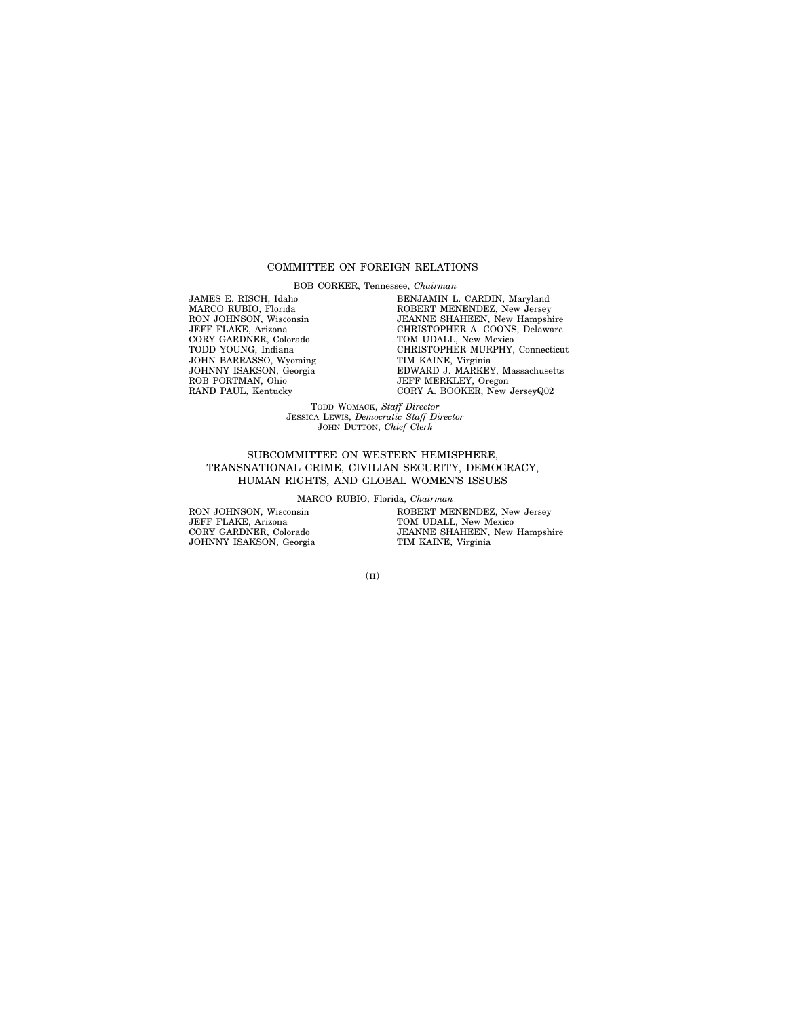### COMMITTEE ON FOREIGN RELATIONS

BOB CORKER, Tennessee, *Chairman*

JAMES E. RISCH, Idaho MARCO RUBIO, Florida RON JOHNSON, Wisconsin JEFF FLAKE, Arizona CORY GARDNER, Colorado TODD YOUNG, Indiana JOHN BARRASSO, Wyoming JOHNNY ISAKSON, Georgia ROB PORTMAN, Ohio RAND PAUL, Kentucky

BENJAMIN L. CARDIN, Maryland ROBERT MENENDEZ, New Jersey JEANNE SHAHEEN, New Hampshire CHRISTOPHER A. COONS, Delaware TOM UDALL, New Mexico CHRISTOPHER MURPHY, Connecticut TIM KAINE, Virginia EDWARD J. MARKEY, Massachusetts JEFF MERKLEY, Oregon CORY A. BOOKER, New JerseyQ02

TODD WOMACK, *Staff Director* JESSICA LEWIS, *Democratic Staff Director* JOHN DUTTON, *Chief Clerk*

## SUBCOMMITTEE ON WESTERN HEMISPHERE, TRANSNATIONAL CRIME, CIVILIAN SECURITY, DEMOCRACY, HUMAN RIGHTS, AND GLOBAL WOMEN'S ISSUES

MARCO RUBIO, Florida, *Chairman*

RON JOHNSON, Wisconsin JEFF FLAKE, Arizona CORY GARDNER, Colorado JOHNNY ISAKSON, Georgia ROBERT MENENDEZ, New Jersey TOM UDALL, New Mexico JEANNE SHAHEEN, New Hampshire TIM KAINE, Virginia

(II)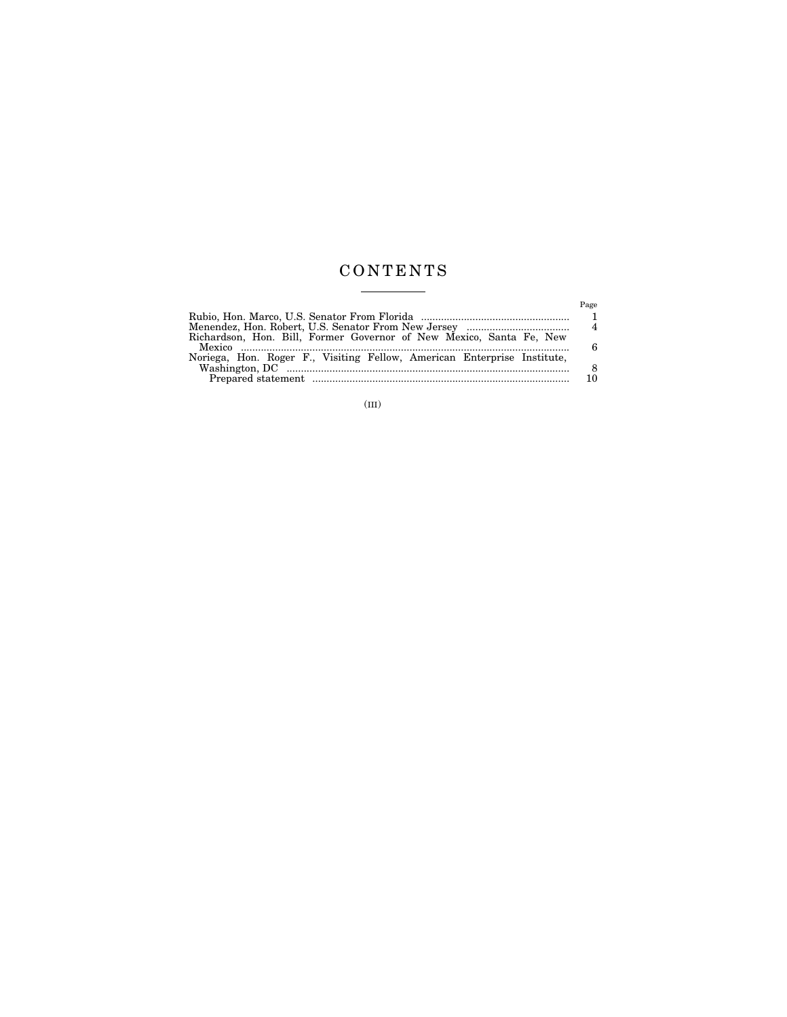# C O N T E N T S  $\begin{tabular}{l} \multicolumn{2}{c} {\textbf{1}} & \multicolumn{2}{c} {\textbf{1}} & \multicolumn{2}{c} {\textbf{1}} \\ \multicolumn{2}{c} {\textbf{2}} & \multicolumn{2}{c} {\textbf{3}} & \multicolumn{2}{c} {\textbf{4}} \\ \multicolumn{2}{c} {\textbf{4}} & \multicolumn{2}{c} {\textbf{5}} & \multicolumn{2}{c} {\textbf{6}} \\ \multicolumn{2}{c} {\textbf{5}} & \multicolumn{2}{c} {\textbf{6}} & \multicolumn{2}{c} {\textbf{6}} \\ \multicolumn{2}{c} {\textbf{6}} & \multicolumn$

|                                                                                   | Page |
|-----------------------------------------------------------------------------------|------|
|                                                                                   |      |
| Menendez, Hon. Robert, U.S. Senator From New Jersey …………………………………………………………………………… |      |
| Richardson, Hon. Bill, Former Governor of New Mexico, Santa Fe, New               | 6    |
| Noriega, Hon. Roger F., Visiting Fellow, American Enterprise Institute,           |      |
|                                                                                   | 8    |
|                                                                                   |      |

(III)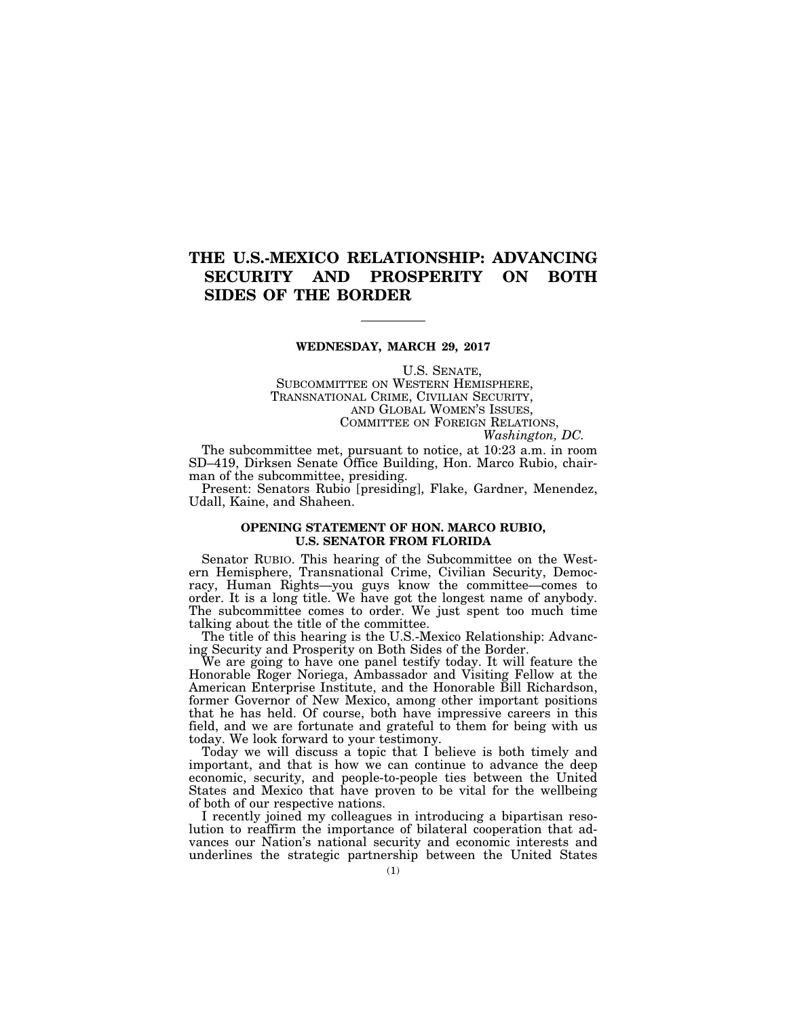# **THE U.S.-MEXICO RELATIONSHIP: ADVANCING SECURITY AND PROSPERITY ON BOTH SIDES OF THE BORDER**

### **WEDNESDAY, MARCH 29, 2017**

U.S. SENATE, SUBCOMMITTEE ON WESTERN HEMISPHERE, TRANSNATIONAL CRIME, CIVILIAN SECURITY, AND GLOBAL WOMEN'S ISSUES, COMMITTEE ON FOREIGN RELATIONS, *Washington, DC.* 

The subcommittee met, pursuant to notice, at 10:23 a.m. in room SD–419, Dirksen Senate Office Building, Hon. Marco Rubio, chairman of the subcommittee, presiding.

Present: Senators Rubio [presiding], Flake, Gardner, Menendez, Udall, Kaine, and Shaheen.

# **OPENING STATEMENT OF HON. MARCO RUBIO, U.S. SENATOR FROM FLORIDA**

Senator RUBIO. This hearing of the Subcommittee on the Western Hemisphere, Transnational Crime, Civilian Security, Democracy, Human Rights—you guys know the committee—comes to order. It is a long title. We have got the longest name of anybody. The subcommittee comes to order. We just spent too much time talking about the title of the committee.

The title of this hearing is the U.S.-Mexico Relationship: Advancing Security and Prosperity on Both Sides of the Border.

We are going to have one panel testify today. It will feature the Honorable Roger Noriega, Ambassador and Visiting Fellow at the American Enterprise Institute, and the Honorable Bill Richardson, former Governor of New Mexico, among other important positions that he has held. Of course, both have impressive careers in this field, and we are fortunate and grateful to them for being with us today. We look forward to your testimony.

Today we will discuss a topic that I believe is both timely and important, and that is how we can continue to advance the deep economic, security, and people-to-people ties between the United States and Mexico that have proven to be vital for the wellbeing of both of our respective nations.

I recently joined my colleagues in introducing a bipartisan resolution to reaffirm the importance of bilateral cooperation that advances our Nation's national security and economic interests and underlines the strategic partnership between the United States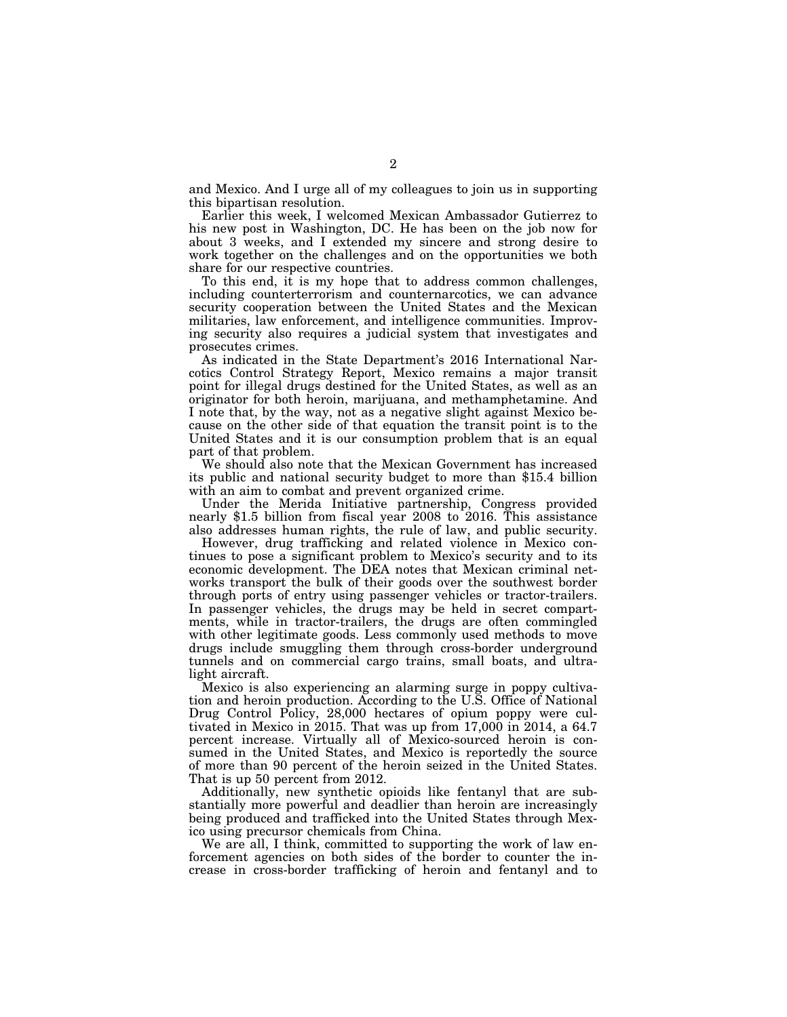and Mexico. And I urge all of my colleagues to join us in supporting this bipartisan resolution.

Earlier this week, I welcomed Mexican Ambassador Gutierrez to his new post in Washington, DC. He has been on the job now for about 3 weeks, and I extended my sincere and strong desire to work together on the challenges and on the opportunities we both share for our respective countries.

To this end, it is my hope that to address common challenges, including counterterrorism and counternarcotics, we can advance security cooperation between the United States and the Mexican militaries, law enforcement, and intelligence communities. Improving security also requires a judicial system that investigates and prosecutes crimes.

As indicated in the State Department's 2016 International Narcotics Control Strategy Report, Mexico remains a major transit point for illegal drugs destined for the United States, as well as an originator for both heroin, marijuana, and methamphetamine. And I note that, by the way, not as a negative slight against Mexico because on the other side of that equation the transit point is to the United States and it is our consumption problem that is an equal part of that problem.

We should also note that the Mexican Government has increased its public and national security budget to more than \$15.4 billion with an aim to combat and prevent organized crime.

Under the Merida Initiative partnership, Congress provided nearly \$1.5 billion from fiscal year 2008 to 2016. This assistance also addresses human rights, the rule of law, and public security.

However, drug trafficking and related violence in Mexico continues to pose a significant problem to Mexico's security and to its economic development. The DEA notes that Mexican criminal networks transport the bulk of their goods over the southwest border through ports of entry using passenger vehicles or tractor-trailers. In passenger vehicles, the drugs may be held in secret compartments, while in tractor-trailers, the drugs are often commingled with other legitimate goods. Less commonly used methods to move drugs include smuggling them through cross-border underground tunnels and on commercial cargo trains, small boats, and ultralight aircraft.

Mexico is also experiencing an alarming surge in poppy cultivation and heroin production. According to the U.S. Office of National Drug Control Policy, 28,000 hectares of opium poppy were cultivated in Mexico in 2015. That was up from 17,000 in 2014, a 64.7 percent increase. Virtually all of Mexico-sourced heroin is consumed in the United States, and Mexico is reportedly the source of more than 90 percent of the heroin seized in the United States. That is up 50 percent from 2012.

Additionally, new synthetic opioids like fentanyl that are substantially more powerful and deadlier than heroin are increasingly being produced and trafficked into the United States through Mexico using precursor chemicals from China.

We are all, I think, committed to supporting the work of law enforcement agencies on both sides of the border to counter the increase in cross-border trafficking of heroin and fentanyl and to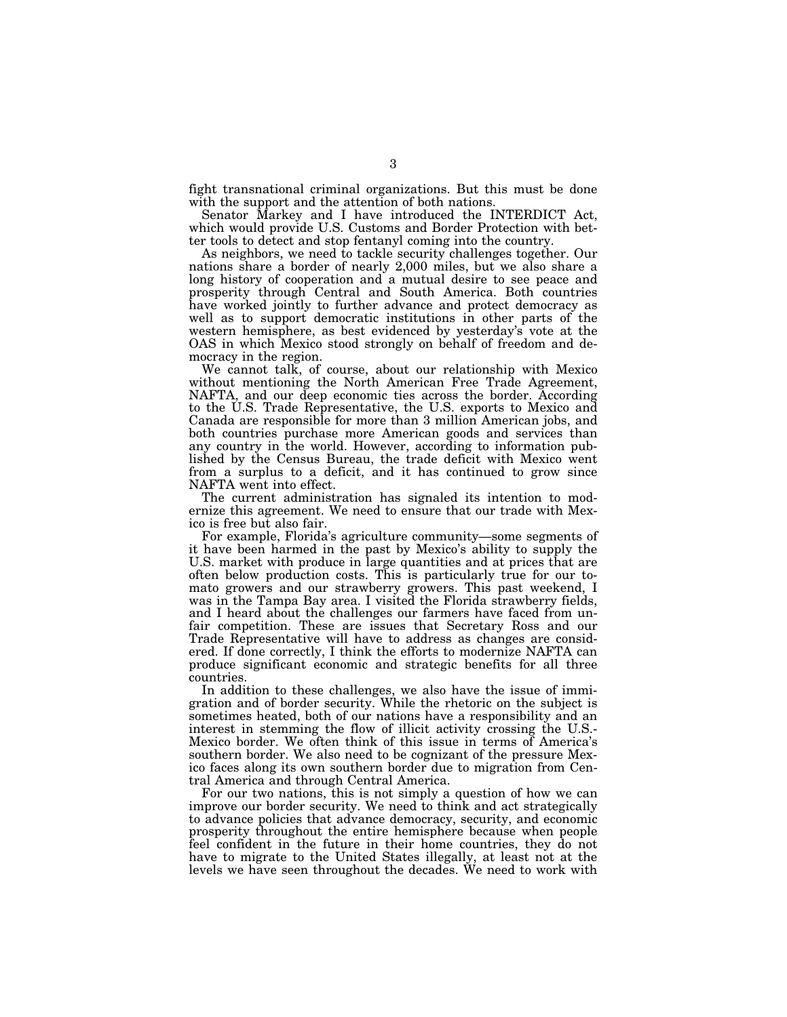fight transnational criminal organizations. But this must be done with the support and the attention of both nations.

Senator Markey and I have introduced the INTERDICT Act, which would provide U.S. Customs and Border Protection with better tools to detect and stop fentanyl coming into the country.

As neighbors, we need to tackle security challenges together. Our nations share a border of nearly 2,000 miles, but we also share a long history of cooperation and a mutual desire to see peace and prosperity through Central and South America. Both countries have worked jointly to further advance and protect democracy as well as to support democratic institutions in other parts of the western hemisphere, as best evidenced by yesterday's vote at the OAS in which Mexico stood strongly on behalf of freedom and democracy in the region.

We cannot talk, of course, about our relationship with Mexico without mentioning the North American Free Trade Agreement, NAFTA, and our deep economic ties across the border. According to the U.S. Trade Representative, the U.S. exports to Mexico and Canada are responsible for more than 3 million American jobs, and both countries purchase more American goods and services than any country in the world. However, according to information published by the Census Bureau, the trade deficit with Mexico went from a surplus to a deficit, and it has continued to grow since NAFTA went into effect.

The current administration has signaled its intention to modernize this agreement. We need to ensure that our trade with Mexico is free but also fair.

For example, Florida's agriculture community—some segments of it have been harmed in the past by Mexico's ability to supply the U.S. market with produce in large quantities and at prices that are often below production costs. This is particularly true for our tomato growers and our strawberry growers. This past weekend, I was in the Tampa Bay area. I visited the Florida strawberry fields, and I heard about the challenges our farmers have faced from unfair competition. These are issues that Secretary Ross and our Trade Representative will have to address as changes are considered. If done correctly, I think the efforts to modernize NAFTA can produce significant economic and strategic benefits for all three countries.

In addition to these challenges, we also have the issue of immigration and of border security. While the rhetoric on the subject is sometimes heated, both of our nations have a responsibility and an interest in stemming the flow of illicit activity crossing the U.S.- Mexico border. We often think of this issue in terms of America's southern border. We also need to be cognizant of the pressure Mexico faces along its own southern border due to migration from Central America and through Central America.

For our two nations, this is not simply a question of how we can improve our border security. We need to think and act strategically to advance policies that advance democracy, security, and economic prosperity throughout the entire hemisphere because when people feel confident in the future in their home countries, they do not have to migrate to the United States illegally, at least not at the levels we have seen throughout the decades. We need to work with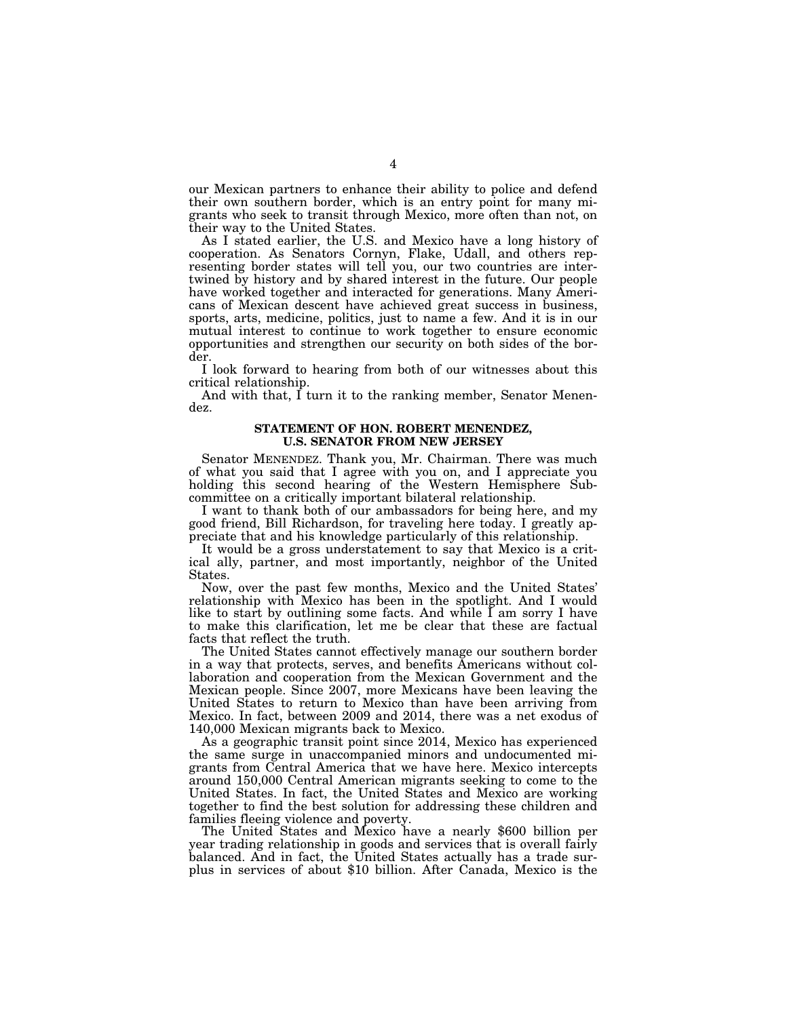our Mexican partners to enhance their ability to police and defend their own southern border, which is an entry point for many migrants who seek to transit through Mexico, more often than not, on their way to the United States.

As I stated earlier, the U.S. and Mexico have a long history of cooperation. As Senators Cornyn, Flake, Udall, and others representing border states will tell you, our two countries are intertwined by history and by shared interest in the future. Our people have worked together and interacted for generations. Many Americans of Mexican descent have achieved great success in business, sports, arts, medicine, politics, just to name a few. And it is in our mutual interest to continue to work together to ensure economic opportunities and strengthen our security on both sides of the border.

I look forward to hearing from both of our witnesses about this critical relationship.

And with that, I turn it to the ranking member, Senator Menendez.

### **STATEMENT OF HON. ROBERT MENENDEZ, U.S. SENATOR FROM NEW JERSEY**

Senator MENENDEZ. Thank you, Mr. Chairman. There was much of what you said that I agree with you on, and I appreciate you holding this second hearing of the Western Hemisphere Subcommittee on a critically important bilateral relationship.

I want to thank both of our ambassadors for being here, and my good friend, Bill Richardson, for traveling here today. I greatly appreciate that and his knowledge particularly of this relationship.

It would be a gross understatement to say that Mexico is a critical ally, partner, and most importantly, neighbor of the United States.

Now, over the past few months, Mexico and the United States' relationship with Mexico has been in the spotlight. And I would like to start by outlining some facts. And while  $\overline{I}$  am sorry I have to make this clarification, let me be clear that these are factual facts that reflect the truth.

The United States cannot effectively manage our southern border in a way that protects, serves, and benefits Americans without collaboration and cooperation from the Mexican Government and the Mexican people. Since 2007, more Mexicans have been leaving the United States to return to Mexico than have been arriving from Mexico. In fact, between 2009 and 2014, there was a net exodus of 140,000 Mexican migrants back to Mexico.

As a geographic transit point since 2014, Mexico has experienced the same surge in unaccompanied minors and undocumented migrants from Central America that we have here. Mexico intercepts around 150,000 Central American migrants seeking to come to the United States. In fact, the United States and Mexico are working together to find the best solution for addressing these children and families fleeing violence and poverty.

The United States and Mexico have a nearly \$600 billion per year trading relationship in goods and services that is overall fairly balanced. And in fact, the United States actually has a trade surplus in services of about \$10 billion. After Canada, Mexico is the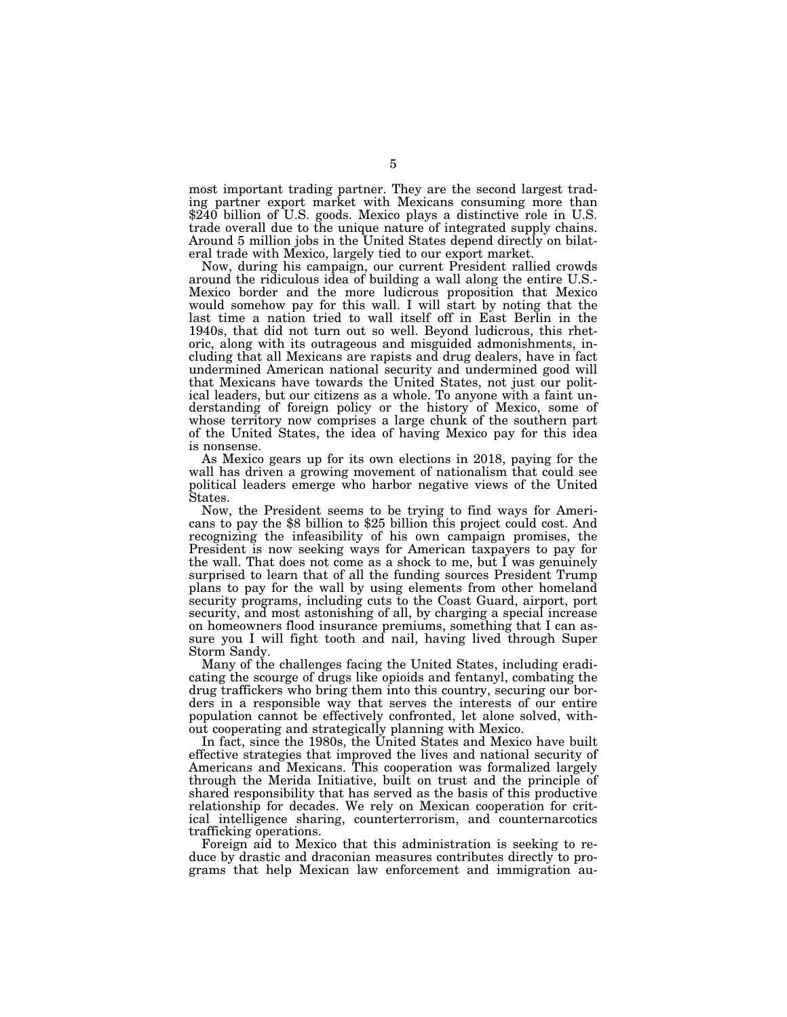most important trading partner. They are the second largest trading partner export market with Mexicans consuming more than \$240 billion of U.S. goods. Mexico plays a distinctive role in U.S. trade overall due to the unique nature of integrated supply chains. Around 5 million jobs in the United States depend directly on bilateral trade with Mexico, largely tied to our export market.

Now, during his campaign, our current President rallied crowds around the ridiculous idea of building a wall along the entire U.S.- Mexico border and the more ludicrous proposition that Mexico would somehow pay for this wall. I will start by noting that the last time a nation tried to wall itself off in East Berlin in the 1940s, that did not turn out so well. Beyond ludicrous, this rhetoric, along with its outrageous and misguided admonishments, including that all Mexicans are rapists and drug dealers, have in fact undermined American national security and undermined good will that Mexicans have towards the United States, not just our political leaders, but our citizens as a whole. To anyone with a faint understanding of foreign policy or the history of Mexico, some of whose territory now comprises a large chunk of the southern part of the United States, the idea of having Mexico pay for this idea is nonsense.

As Mexico gears up for its own elections in 2018, paying for the wall has driven a growing movement of nationalism that could see political leaders emerge who harbor negative views of the United States.

Now, the President seems to be trying to find ways for Ameri- cans to pay the \$8 billion to \$25 billion this project could cost. And recognizing the infeasibility of his own campaign promises, the President is now seeking ways for American taxpayers to pay for the wall. That does not come as a shock to me, but I was genuinely surprised to learn that of all the funding sources President Trump plans to pay for the wall by using elements from other homeland security programs, including cuts to the Coast Guard, airport, port security, and most astonishing of all, by charging a special increase on homeowners flood insurance premiums, something that I can assure you I will fight tooth and nail, having lived through Super Storm Sandy.

Many of the challenges facing the United States, including eradicating the scourge of drugs like opioids and fentanyl, combating the drug traffickers who bring them into this country, securing our borders in a responsible way that serves the interests of our entire population cannot be effectively confronted, let alone solved, without cooperating and strategically planning with Mexico.

In fact, since the 1980s, the United States and Mexico have built effective strategies that improved the lives and national security of Americans and Mexicans. This cooperation was formalized largely through the Merida Initiative, built on trust and the principle of shared responsibility that has served as the basis of this productive relationship for decades. We rely on Mexican cooperation for critical intelligence sharing, counterterrorism, and counternarcotics trafficking operations.

Foreign aid to Mexico that this administration is seeking to reduce by drastic and draconian measures contributes directly to programs that help Mexican law enforcement and immigration au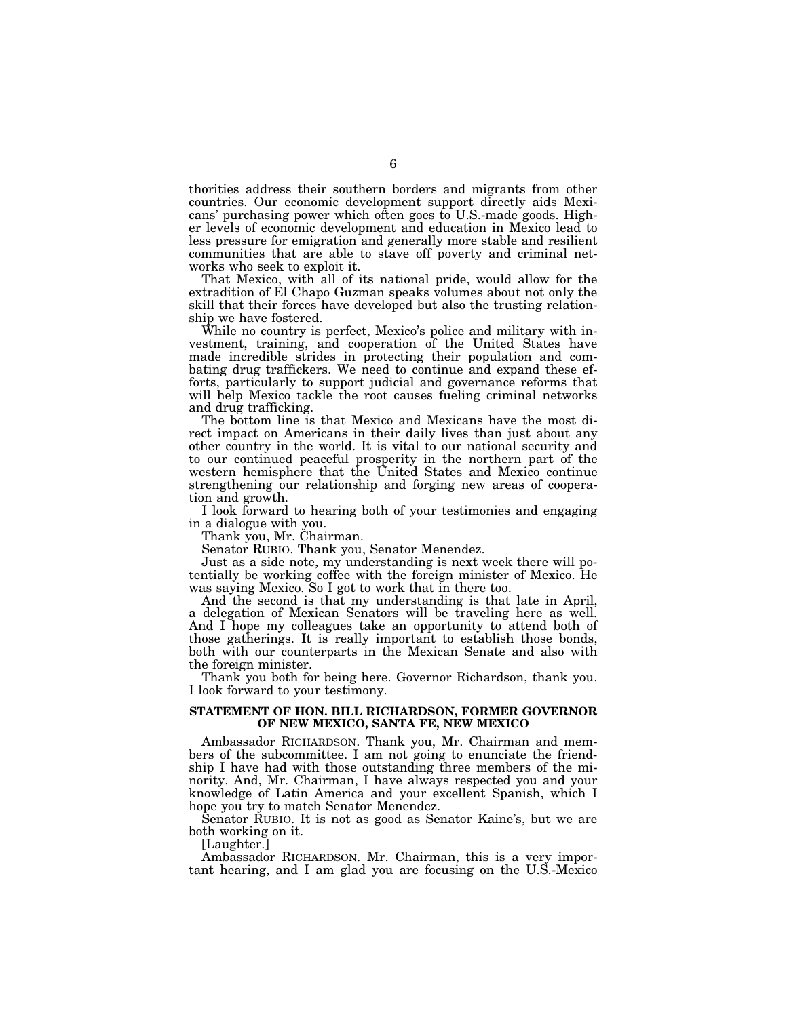thorities address their southern borders and migrants from other countries. Our economic development support directly aids Mexicans' purchasing power which often goes to U.S.-made goods. Higher levels of economic development and education in Mexico lead to less pressure for emigration and generally more stable and resilient communities that are able to stave off poverty and criminal networks who seek to exploit it.

That Mexico, with all of its national pride, would allow for the extradition of El Chapo Guzman speaks volumes about not only the skill that their forces have developed but also the trusting relationship we have fostered.

While no country is perfect, Mexico's police and military with investment, training, and cooperation of the United States have made incredible strides in protecting their population and combating drug traffickers. We need to continue and expand these efforts, particularly to support judicial and governance reforms that will help Mexico tackle the root causes fueling criminal networks and drug trafficking.

The bottom line is that Mexico and Mexicans have the most direct impact on Americans in their daily lives than just about any other country in the world. It is vital to our national security and to our continued peaceful prosperity in the northern part of the western hemisphere that the United States and Mexico continue strengthening our relationship and forging new areas of cooperation and growth.

I look forward to hearing both of your testimonies and engaging in a dialogue with you.

Thank you, Mr. Chairman.

Senator RUBIO. Thank you, Senator Menendez.

Just as a side note, my understanding is next week there will potentially be working coffee with the foreign minister of Mexico. He was saying Mexico. So I got to work that in there too.

And the second is that my understanding is that late in April, a delegation of Mexican Senators will be traveling here as well. And I hope my colleagues take an opportunity to attend both of those gatherings. It is really important to establish those bonds, both with our counterparts in the Mexican Senate and also with the foreign minister.

Thank you both for being here. Governor Richardson, thank you. I look forward to your testimony.

### **STATEMENT OF HON. BILL RICHARDSON, FORMER GOVERNOR OF NEW MEXICO, SANTA FE, NEW MEXICO**

Ambassador RICHARDSON. Thank you, Mr. Chairman and members of the subcommittee. I am not going to enunciate the friendship I have had with those outstanding three members of the minority. And, Mr. Chairman, I have always respected you and your knowledge of Latin America and your excellent Spanish, which I hope you try to match Senator Menendez.

Senator RUBIO. It is not as good as Senator Kaine's, but we are both working on it.

[Laughter.]

Ambassador RICHARDSON. Mr. Chairman, this is a very important hearing, and I am glad you are focusing on the U.S.-Mexico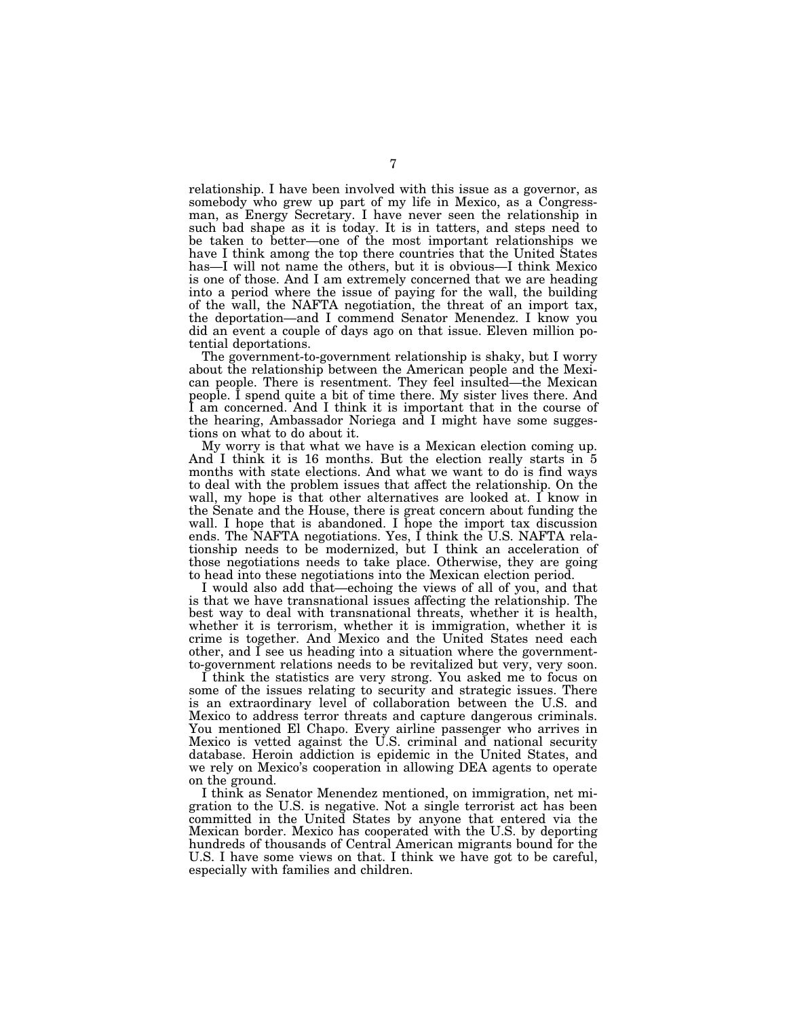relationship. I have been involved with this issue as a governor, as somebody who grew up part of my life in Mexico, as a Congressman, as Energy Secretary. I have never seen the relationship in such bad shape as it is today. It is in tatters, and steps need to be taken to better—one of the most important relationships we have I think among the top there countries that the United States has—I will not name the others, but it is obvious—I think Mexico is one of those. And I am extremely concerned that we are heading into a period where the issue of paying for the wall, the building of the wall, the NAFTA negotiation, the threat of an import tax, the deportation—and I commend Senator Menendez. I know you did an event a couple of days ago on that issue. Eleven million potential deportations.

The government-to-government relationship is shaky, but I worry about the relationship between the American people and the Mexican people. There is resentment. They feel insulted—the Mexican people. I spend quite a bit of time there. My sister lives there. And I am concerned. And I think it is important that in the course of the hearing, Ambassador Noriega and I might have some suggestions on what to do about it.

My worry is that what we have is a Mexican election coming up. And I think it is 16 months. But the election really starts in 5 months with state elections. And what we want to do is find ways to deal with the problem issues that affect the relationship. On the wall, my hope is that other alternatives are looked at. I know in the Senate and the House, there is great concern about funding the wall. I hope that is abandoned. I hope the import tax discussion ends. The NAFTA negotiations. Yes, I think the U.S. NAFTA relationship needs to be modernized, but I think an acceleration of those negotiations needs to take place. Otherwise, they are going to head into these negotiations into the Mexican election period.

I would also add that—echoing the views of all of you, and that is that we have transnational issues affecting the relationship. The best way to deal with transnational threats, whether it is health, whether it is terrorism, whether it is immigration, whether it is crime is together. And Mexico and the United States need each other, and I see us heading into a situation where the governmentto-government relations needs to be revitalized but very, very soon.

I think the statistics are very strong. You asked me to focus on some of the issues relating to security and strategic issues. There is an extraordinary level of collaboration between the U.S. and Mexico to address terror threats and capture dangerous criminals. You mentioned El Chapo. Every airline passenger who arrives in Mexico is vetted against the U.S. criminal and national security database. Heroin addiction is epidemic in the United States, and we rely on Mexico's cooperation in allowing DEA agents to operate on the ground.

I think as Senator Menendez mentioned, on immigration, net migration to the U.S. is negative. Not a single terrorist act has been committed in the United States by anyone that entered via the Mexican border. Mexico has cooperated with the U.S. by deporting hundreds of thousands of Central American migrants bound for the U.S. I have some views on that. I think we have got to be careful, especially with families and children.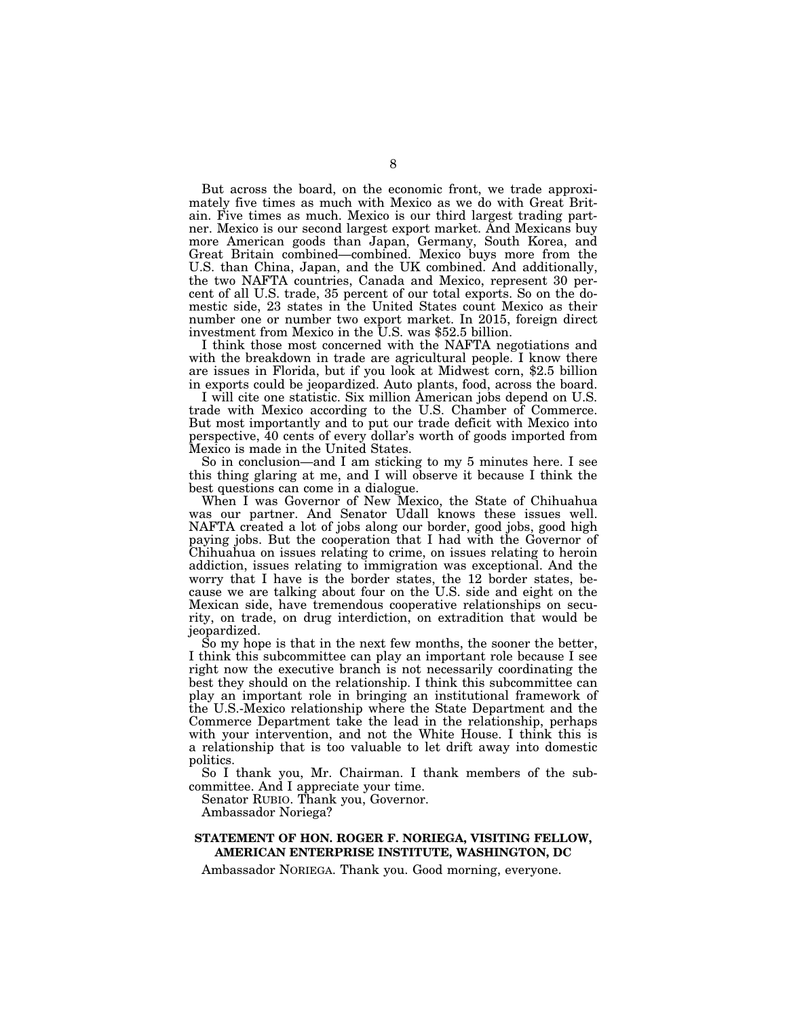But across the board, on the economic front, we trade approximately five times as much with Mexico as we do with Great Britain. Five times as much. Mexico is our third largest trading partner. Mexico is our second largest export market. And Mexicans buy more American goods than Japan, Germany, South Korea, and Great Britain combined—combined. Mexico buys more from the U.S. than China, Japan, and the UK combined. And additionally, the two NAFTA countries, Canada and Mexico, represent 30 percent of all U.S. trade, 35 percent of our total exports. So on the domestic side, 23 states in the United States count Mexico as their number one or number two export market. In 2015, foreign direct investment from Mexico in the U.S. was \$52.5 billion.

I think those most concerned with the NAFTA negotiations and with the breakdown in trade are agricultural people. I know there are issues in Florida, but if you look at Midwest corn, \$2.5 billion in exports could be jeopardized. Auto plants, food, across the board.

I will cite one statistic. Six million American jobs depend on U.S. trade with Mexico according to the U.S. Chamber of Commerce. But most importantly and to put our trade deficit with Mexico into perspective, 40 cents of every dollar's worth of goods imported from Mexico is made in the United States.

So in conclusion—and I am sticking to my 5 minutes here. I see this thing glaring at me, and I will observe it because I think the best questions can come in a dialogue.

When I was Governor of New Mexico, the State of Chihuahua was our partner. And Senator Udall knows these issues well. NAFTA created a lot of jobs along our border, good jobs, good high paying jobs. But the cooperation that I had with the Governor of Chihuahua on issues relating to crime, on issues relating to heroin addiction, issues relating to immigration was exceptional. And the worry that I have is the border states, the 12 border states, because we are talking about four on the U.S. side and eight on the Mexican side, have tremendous cooperative relationships on security, on trade, on drug interdiction, on extradition that would be jeopardized.

So my hope is that in the next few months, the sooner the better, I think this subcommittee can play an important role because I see right now the executive branch is not necessarily coordinating the best they should on the relationship. I think this subcommittee can play an important role in bringing an institutional framework of the U.S.-Mexico relationship where the State Department and the Commerce Department take the lead in the relationship, perhaps with your intervention, and not the White House. I think this is a relationship that is too valuable to let drift away into domestic politics.

So I thank you, Mr. Chairman. I thank members of the subcommittee. And I appreciate your time.

Senator RUBIO. Thank you, Governor.

Ambassador Noriega?

## **STATEMENT OF HON. ROGER F. NORIEGA, VISITING FELLOW, AMERICAN ENTERPRISE INSTITUTE, WASHINGTON, DC**

Ambassador NORIEGA. Thank you. Good morning, everyone.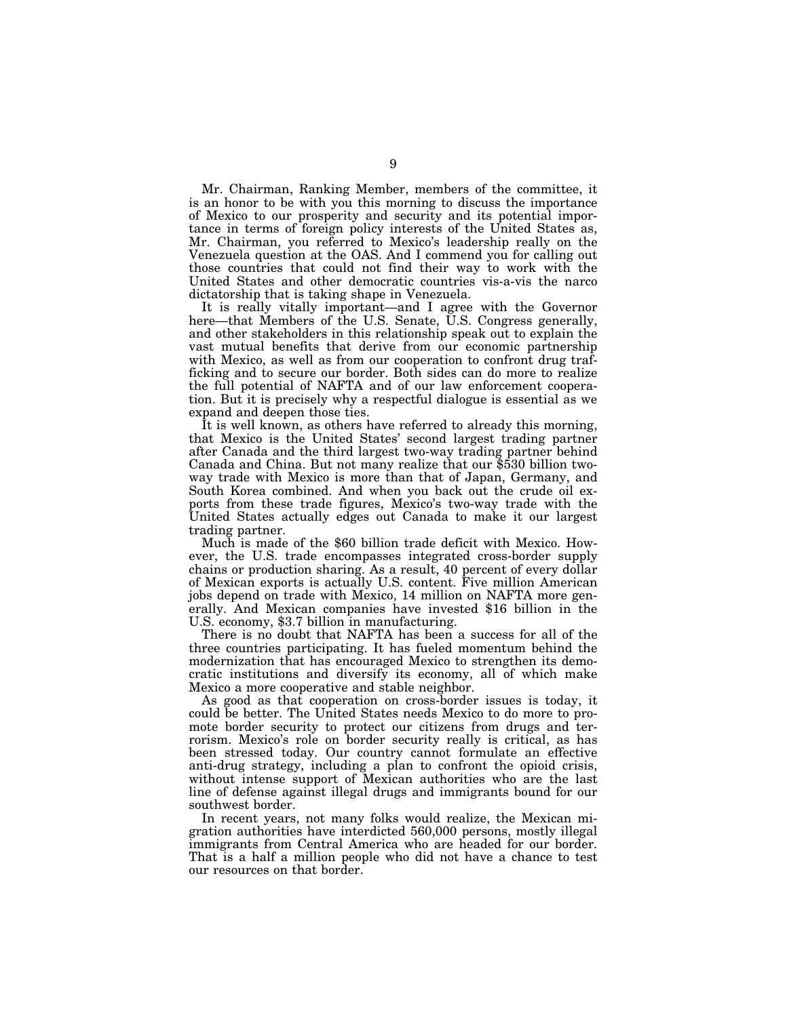Mr. Chairman, Ranking Member, members of the committee, it is an honor to be with you this morning to discuss the importance of Mexico to our prosperity and security and its potential importance in terms of foreign policy interests of the United States as, Mr. Chairman, you referred to Mexico's leadership really on the Venezuela question at the OAS. And I commend you for calling out those countries that could not find their way to work with the United States and other democratic countries vis-a-vis the narco dictatorship that is taking shape in Venezuela.

It is really vitally important—and I agree with the Governor here—that Members of the U.S. Senate, U.S. Congress generally, and other stakeholders in this relationship speak out to explain the vast mutual benefits that derive from our economic partnership with Mexico, as well as from our cooperation to confront drug trafficking and to secure our border. Both sides can do more to realize the full potential of NAFTA and of our law enforcement cooperation. But it is precisely why a respectful dialogue is essential as we expand and deepen those ties.

It is well known, as others have referred to already this morning, that Mexico is the United States' second largest trading partner after Canada and the third largest two-way trading partner behind Canada and China. But not many realize that our \$530 billion twoway trade with Mexico is more than that of Japan, Germany, and South Korea combined. And when you back out the crude oil exports from these trade figures, Mexico's two-way trade with the United States actually edges out Canada to make it our largest trading partner.

Much is made of the \$60 billion trade deficit with Mexico. However, the U.S. trade encompasses integrated cross-border supply chains or production sharing. As a result, 40 percent of every dollar of Mexican exports is actually U.S. content. Five million American jobs depend on trade with Mexico, 14 million on NAFTA more generally. And Mexican companies have invested \$16 billion in the U.S. economy, \$3.7 billion in manufacturing.

There is no doubt that NAFTA has been a success for all of the three countries participating. It has fueled momentum behind the modernization that has encouraged Mexico to strengthen its democratic institutions and diversify its economy, all of which make Mexico a more cooperative and stable neighbor.

As good as that cooperation on cross-border issues is today, it could be better. The United States needs Mexico to do more to promote border security to protect our citizens from drugs and terrorism. Mexico's role on border security really is critical, as has been stressed today. Our country cannot formulate an effective anti-drug strategy, including a plan to confront the opioid crisis, without intense support of Mexican authorities who are the last line of defense against illegal drugs and immigrants bound for our southwest border.

In recent years, not many folks would realize, the Mexican migration authorities have interdicted 560,000 persons, mostly illegal immigrants from Central America who are headed for our border. That is a half a million people who did not have a chance to test our resources on that border.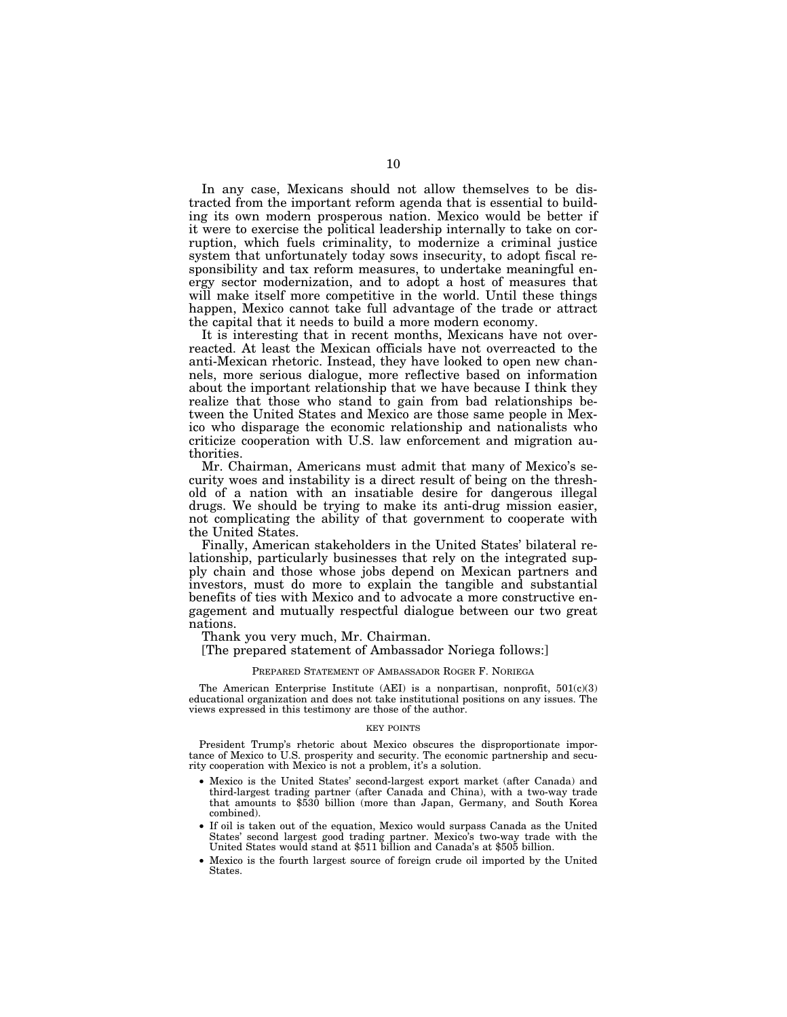In any case, Mexicans should not allow themselves to be distracted from the important reform agenda that is essential to building its own modern prosperous nation. Mexico would be better if it were to exercise the political leadership internally to take on corruption, which fuels criminality, to modernize a criminal justice system that unfortunately today sows insecurity, to adopt fiscal responsibility and tax reform measures, to undertake meaningful energy sector modernization, and to adopt a host of measures that will make itself more competitive in the world. Until these things happen, Mexico cannot take full advantage of the trade or attract the capital that it needs to build a more modern economy.

It is interesting that in recent months, Mexicans have not overreacted. At least the Mexican officials have not overreacted to the anti-Mexican rhetoric. Instead, they have looked to open new channels, more serious dialogue, more reflective based on information about the important relationship that we have because I think they realize that those who stand to gain from bad relationships between the United States and Mexico are those same people in Mexico who disparage the economic relationship and nationalists who criticize cooperation with U.S. law enforcement and migration authorities.

Mr. Chairman, Americans must admit that many of Mexico's security woes and instability is a direct result of being on the threshold of a nation with an insatiable desire for dangerous illegal drugs. We should be trying to make its anti-drug mission easier, not complicating the ability of that government to cooperate with the United States.

Finally, American stakeholders in the United States' bilateral relationship, particularly businesses that rely on the integrated supply chain and those whose jobs depend on Mexican partners and investors, must do more to explain the tangible and substantial benefits of ties with Mexico and to advocate a more constructive engagement and mutually respectful dialogue between our two great nations.

Thank you very much, Mr. Chairman.

[The prepared statement of Ambassador Noriega follows:]

#### PREPARED STATEMENT OF AMBASSADOR ROGER F. NORIEGA

The American Enterprise Institute (AEI) is a nonpartisan, nonprofit,  $501(c)(3)$ educational organization and does not take institutional positions on any issues. The views expressed in this testimony are those of the author.

#### KEY POINTS

President Trump's rhetoric about Mexico obscures the disproportionate importance of Mexico to U.S. prosperity and security. The economic partnership and security cooperation with Mexico is not a problem, it's a solution.

- Mexico is the United States' second-largest export market (after Canada) and third-largest trading partner (after Canada and China), with a two-way trade that amounts to \$530 billion (more than Japan, Germany, and South Korea combined).
- If oil is taken out of the equation, Mexico would surpass Canada as the United States' second largest good trading partner. Mexico's two-way trade with the United States would stand at \$511 billion and Canada's at \$505 billion.
- Mexico is the fourth largest source of foreign crude oil imported by the United States.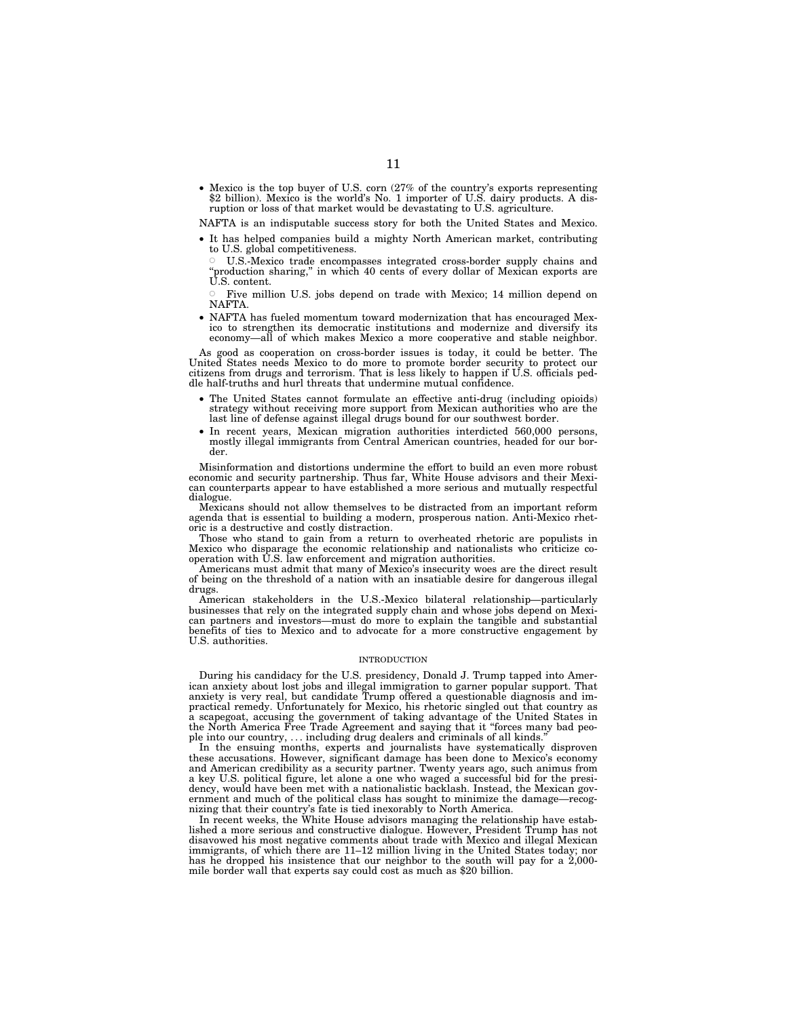• Mexico is the top buyer of U.S. corn (27% of the country's exports representing \$2 billion). Mexico is the world's No. 1 importer of U.S. dairy products. A disruption or loss of that market would be devastating to U.S. agriculture.

NAFTA is an indisputable success story for both the United States and Mexico.

• It has helped companies build a mighty North American market, contributing to U.S. global competitiveness.

Æ U.S.-Mexico trade encompasses integrated cross-border supply chains and ''production sharing,'' in which 40 cents of every dollar of Mexican exports are U.S. content.

Æ Five million U.S. jobs depend on trade with Mexico; 14 million depend on NAFTA.

• NAFTA has fueled momentum toward modernization that has encouraged Mexico to strengthen its democratic institutions and modernize and diversify its economy—all of which makes Mexico a more cooperative and stable neighbor.

As good as cooperation on cross-border issues is today, it could be better. The United States needs Mexico to do more to promote border security to protect our citizens from drugs and terrorism. That is less likely to happen if U.S. officials peddle half-truths and hurl threats that undermine mutual confidence.

- The United States cannot formulate an effective anti-drug (including opioids) strategy without receiving more support from Mexican authorities who are the last line of defense against illegal drugs bound for our southwest border.
- In recent years, Mexican migration authorities interdicted 560,000 persons, mostly illegal immigrants from Central American countries, headed for our border.

Misinformation and distortions undermine the effort to build an even more robust economic and security partnership. Thus far, White House advisors and their Mexican counterparts appear to have established a more serious and mutually respectful dialogue.

Mexicans should not allow themselves to be distracted from an important reform agenda that is essential to building a modern, prosperous nation. Anti-Mexico rhetoric is a destructive and costly distraction.

Those who stand to gain from a return to overheated rhetoric are populists in Mexico who disparage the economic relationship and nationalists who criticize cooperation with U.S. law enforcement and migration authorities.

Americans must admit that many of Mexico's insecurity woes are the direct result of being on the threshold of a nation with an insatiable desire for dangerous illegal drugs.

American stakeholders in the U.S.-Mexico bilateral relationship—particularly businesses that rely on the integrated supply chain and whose jobs depend on Mexican partners and investors—must do more to explain the tangible and substantial benefits of ties to Mexico and to advocate for a more constructive engagement by U.S. authorities.

#### INTRODUCTION

During his candidacy for the U.S. presidency, Donald J. Trump tapped into American anxiety about lost jobs and illegal immigration to garner popular support. That anxiety is very real, but candidate Trump offered a questionable diagnosis and impractical remedy. Unfortunately for Mexico, his rhetoric singled out that country as a scapegoat, accusing the government of taking advantage of the United States in the North America Free Trade Agreement and saying that it ''forces many bad people into our country, ... including drug dealers and criminals of all kinds.

In the ensuing months, experts and journalists have systematically disproven these accusations. However, significant damage has been done to Mexico's economy and American credibility as a security partner. Twenty years ago, such animus from a key U.S. political figure, let alone a one who waged a successful bid for the presidency, would have been met with a nationalistic backlash. Instead, the Mexican government and much of the political class has sought to minimize the damage—recognizing that their country's fate is tied inexorably to North America.

In recent weeks, the White House advisors managing the relationship have established a more serious and constructive dialogue. However, President Trump has not disavowed his most negative comments about trade with Mexico and illegal Mexican immigrants, of which there are 11–12 million living in the United States today; nor has he dropped his insistence that our neighbor to the south will pay for a  $2,000$ mile border wall that experts say could cost as much as \$20 billion.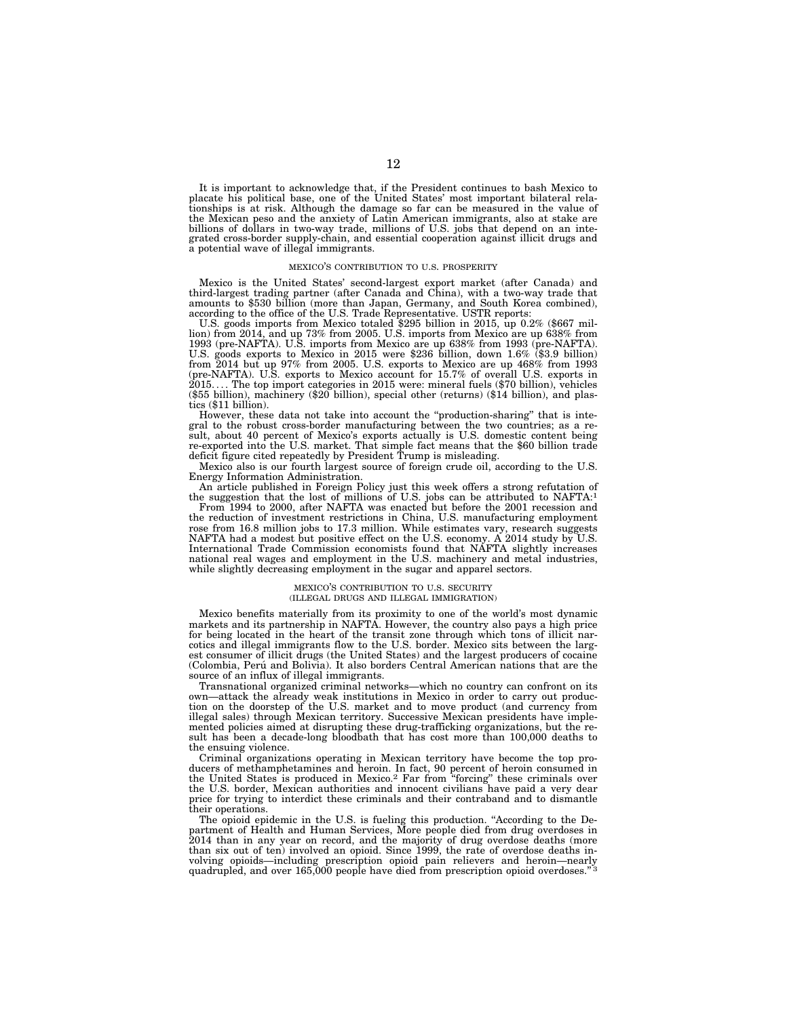It is important to acknowledge that, if the President continues to bash Mexico to placate his political base, one of the United States' most important bilateral relationships is at risk. Although the damage so far can be measured in the value of the Mexican peso and the anxiety of Latin American immigrants, also at stake are billions of dollars in two-way trade, millions of U.S. jobs that depend on an integrated cross-border supply-chain, and essential cooperation against illicit drugs and a potential wave of illegal immigrants.

#### MEXICO'S CONTRIBUTION TO U.S. PROSPERITY

Mexico is the United States' second-largest export market (after Canada) and third-largest trading partner (after Canada and China), with a two-way trade that amounts to \$530 billion (more than Japan, Germany, and South Korea combined),

according to the office of the U.S. Trade Representative. USTR reports:<br>U.S. goods imports from Mexico totaled \$295 billion in 2015, up 0.2% (\$667 mil-<br>lion) from 2014, and up 73% from 2005. U.S. imports from Mexico are u  $2015...$  The top import categories in 2015 were: mineral fuels (\$70 billion), vehicles (\$55 billion), machinery (\$20 billion), special other (returns) (\$14 billion), and plastics (\$11 billion).

However, these data not take into account the ''production-sharing'' that is integral to the robust cross-border manufacturing between the two countries; as a result, about 40 percent of Mexico's exports actually is U.S. domestic content being re-exported into the U.S. market. That simple fact means that the \$60 billion trade deficit figure cited repeatedly by President Trump is misleading.

Mexico also is our fourth largest source of foreign crude oil, according to the U.S. Energy Information Administration.

An article published in Foreign Policy just this week offers a strong refutation of the suggestion that the lost of millions of U.S. jobs can be attributed to NAFTA:1

From 1994 to 2000, after NAFTA was enacted but before the 2001 recession and the reduction of investment restrictions in China, U.S. manufacturing employment rose from 16.8 million jobs to 17.3 million. While estimates vary, research suggests NAFTA had a modest but positive effect on the U.S. economy. A 2014 study by U.S. International Trade Commission economists found that NAFTA slightly increases national real wages and employment in the U.S. machinery and metal industries, while slightly decreasing employment in the sugar and apparel sectors.

#### MEXICO'S CONTRIBUTION TO U.S. SECURITY (ILLEGAL DRUGS AND ILLEGAL IMMIGRATION)

Mexico benefits materially from its proximity to one of the world's most dynamic markets and its partnership in NAFTA. However, the country also pays a high price for being located in the heart of the transit zone through which tons of illicit narcotics and illegal immigrants flow to the U.S. border. Mexico sits between the largest consumer of illicit drugs (the United States) and the largest producers of cocaine (Colombia, Peru´ and Bolivia). It also borders Central American nations that are the source of an influx of illegal immigrants.

Transnational organized criminal networks—which no country can confront on its own—attack the already weak institutions in Mexico in order to carry out production on the doorstep of the U.S. market and to move product (and currency from illegal sales) through Mexican territory. Successive Mexican presidents have implemented policies aimed at disrupting these drug-trafficking organizations, but the result has been a decade-long bloodbath that has cost more than 100,000 deaths to the ensuing violence.

Criminal organizations operating in Mexican territory have become the top producers of methamphetamines and heroin. In fact, 90 percent of heroin consumed in the United States is produced in Mexico.2 Far from ''forcing'' these criminals over the U.S. border, Mexican authorities and innocent civilians have paid a very dear price for trying to interdict these criminals and their contraband and to dismantle their operations.

The opioid epidemic in the U.S. is fueling this production. ''According to the Department of Health and Human Services, More people died from drug overdoses in 2014 than in any year on record, and the majority of drug overdose deaths (more than six out of ten) involved an opioid. Since 1999, the rate of overdose deaths involving opioids—including prescription opioid pain relievers and heroin—nearly quadrupled, and over 165,000 people have died from prescription opioid overdoses."<sup>3</sup>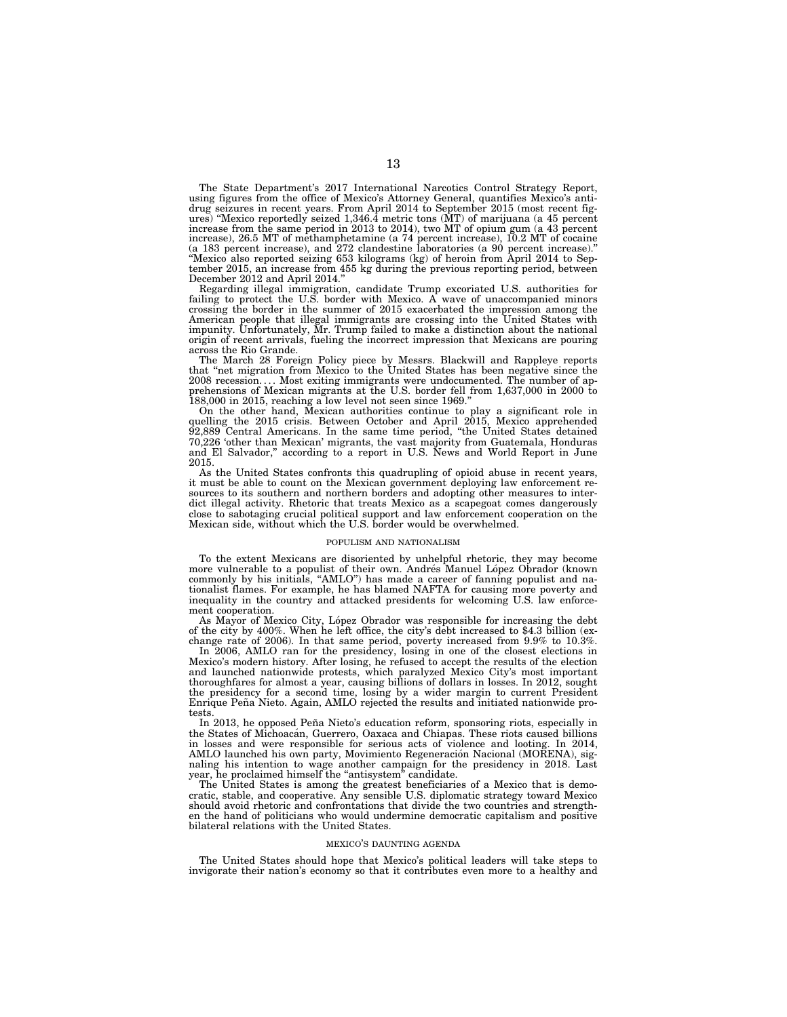The State Department's 2017 International Narcotics Control Strategy Report, using figures from the office of Mexico's Attorney General, quantifies Mexico's antidrug seizures in recent years. From April 2014 to September 2015 (most recent fig-ures) ''Mexico reportedly seized 1,346.4 metric tons (MT) of marijuana (a 45 percent increase from the same period in 2013 to 2014), two MT of opium gum (a 43 percent increase), 26.5 MT of methamphetamine (a 74 percent increase), 10.2 MT of cocaine (a 183 percent increase), and 272 clandestine laboratories (a 90 percent increase).'' ''Mexico also reported seizing 653 kilograms (kg) of heroin from April 2014 to September 2015, an increase from 455 kg during the previous reporting period, between December 2012 and April 2014.

Regarding illegal immigration, candidate Trump excoriated U.S. authorities for failing to protect the U.S. border with Mexico. A wave of unaccompanied minors crossing the border in the summer of 2015 exacerbated the impression among the American people that illegal immigrants are crossing into the United States with impunity. Unfortunately, Mr. Trump failed to make a distinction about the national origin of recent arrivals, fueling the incorrect impression that Mexicans are pouring across the Rio Grande.

The March 28 Foreign Policy piece by Messrs. Blackwill and Rappleye reports that ''net migration from Mexico to the United States has been negative since the 2008 recession. . . . Most exiting immigrants were undocumented. The number of ap-prehensions of Mexican migrants at the U.S. border fell from 1,637,000 in 2000 to 188,000 in 2015, reaching a low level not seen since 1969.''

On the other hand, Mexican authorities continue to play a significant role in quelling the 2015 crisis. Between October and April 2015, Mexico apprehended 92,889 Central Americans. In the same time period, ''the United States detained 70,226 'other than Mexican' migrants, the vast majority from Guatemala, Honduras and El Salvador,'' according to a report in U.S. News and World Report in June 2015.

As the United States confronts this quadrupling of opioid abuse in recent years, it must be able to count on the Mexican government deploying law enforcement resources to its southern and northern borders and adopting other measures to interdict illegal activity. Rhetoric that treats Mexico as a scapegoat comes dangerously close to sabotaging crucial political support and law enforcement cooperation on the Mexican side, without which the U.S. border would be overwhelmed.

#### POPULISM AND NATIONALISM

To the extent Mexicans are disoriented by unhelpful rhetoric, they may become more vulnerable to a populist of their own. Andrés Manuel López Obrador (known commonly by his initials, "AMLO") has made a career of fanning populist and nationalist flames. For example, he has blamed NAFTA for causing more poverty and inequality in the country and attacked presidents for welcoming U.S. law enforcement cooperation.

As Mayor of Mexico City, López Obrador was responsible for increasing the debt of the city by 400%. When he left office, the city's debt increased to \$4.3 billion (exchange rate of 2006). In that same period, poverty increased from 9.9% to 10.3%.

In 2006, AMLO ran for the presidency, losing in one of the closest elections in Mexico's modern history. After losing, he refused to accept the results of the election and launched nationwide protests, which paralyzed Mexico City's most important thoroughfares for almost a year, causing billions of dollars in losses. In 2012, sought the presidency for a second time, losing by a wider margin to current President<br>Enrique Peña Nieto. Again, AMLO rejected the results and initiated nationwide protests.

In 2013, he opposed Peña Nieto's education reform, sponsoring riots, especially in the States of Michoacán, Guerrero, Oaxaca and Chiapas. These riots caused billions in losses and were responsible for serious acts of violence and looting. In 2014, AMLO launched his own party, Movimiento Regeneración Nacional (MORENA), signaling his intention to wage another campaign for the presidency in 2018. Last year, he proclaimed himself the "antisystem" candidate.

The United States is among the greatest beneficiaries of a Mexico that is democratic, stable, and cooperative. Any sensible U.S. diplomatic strategy toward Mexico should avoid rhetoric and confrontations that divide the two countries and strengthen the hand of politicians who would undermine democratic capitalism and positive bilateral relations with the United States.

#### MEXICO'S DAUNTING AGENDA

The United States should hope that Mexico's political leaders will take steps to invigorate their nation's economy so that it contributes even more to a healthy and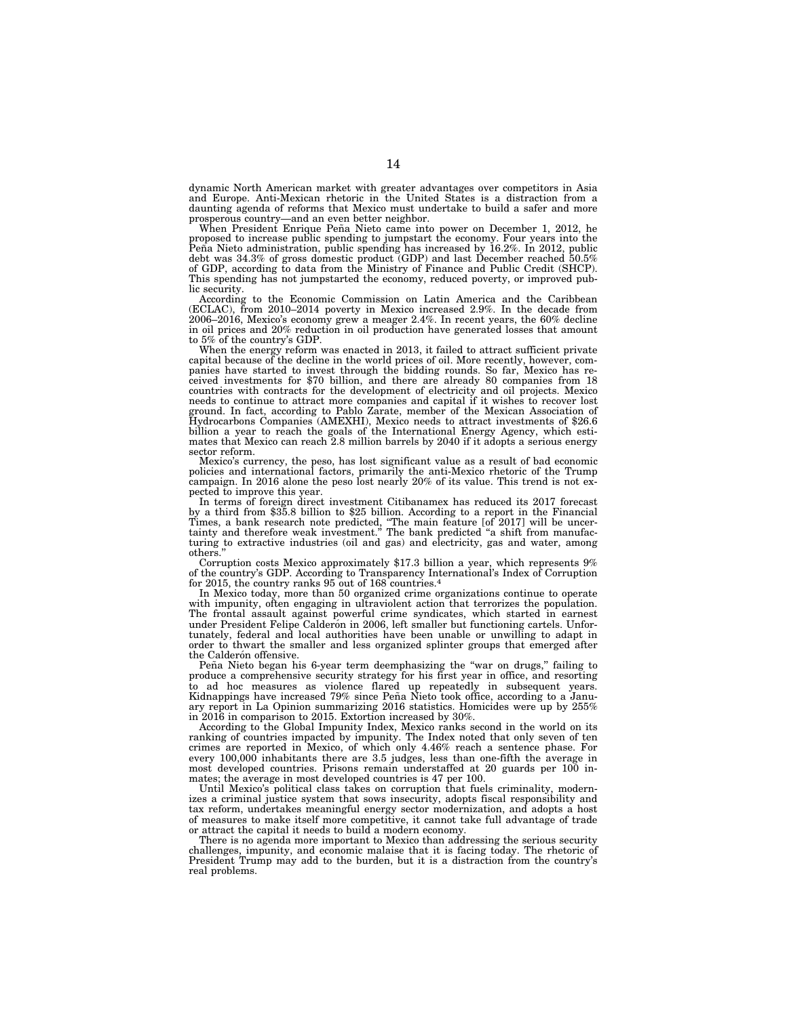dynamic North American market with greater advantages over competitors in Asia and Europe. Anti-Mexican rhetoric in the United States is a distraction from a daunting agenda of reforms that Mexico must undertake to build a safer and more prosperous country—and an even better neighbor.

When President Enrique Peña Nieto came into power on December 1, 2012, he proposed to increase public spending to jumpstart the economy. Four years into the Peña Nieto administration, public spending has increased by 16.2% of GDP, according to data from the Ministry of Finance and Public Credit (SHCP). This spending has not jumpstarted the economy, reduced poverty, or improved public security.

According to the Economic Commission on Latin America and the Caribbean (ECLAC), from 2010–2014 poverty in Mexico increased 2.9%. In the decade from 2006–2016, Mexico's economy grew a meager 2.4%. In recent years, the 60% decline in oil prices and 20% reduction in oil production have generated losses that amount to 5% of the country's GDP.

When the energy reform was enacted in 2013, it failed to attract sufficient private capital because of the decline in the world prices of oil. More recently, however, com-panies have started to invest through the bidding rounds. So far, Mexico has received investments for \$70 billion, and there are already 80 companies from 18 countries with contracts for the development of electricity and oil projects. Mexico needs to continue to attract more companies and capital if it wishes to recover lost ground. In fact, according to Pablo Zarate, member of the Mexican Association of Hydrocarbons Companies (AMEXHI), Mexico needs to attract investments of \$26.6 billion a year to reach the goals of the International Energy Agency, which estimates that Mexico can reach 2.8 million barrels by 2040 if it adopts a serious energy sector reform.

Mexico's currency, the peso, has lost significant value as a result of bad economic policies and international factors, primarily the anti-Mexico rhetoric of the Trump campaign. In 2016 alone the peso lost nearly 20% of its value. This trend is not expected to improve this year.<br>In terms of foreign direct investment Citibanamex has reduced its 2017 forecast

by a third from \$35.8 billion to \$25 billion. According to a report in the Financial Times, a bank research note predicted, "The main feature [of 2017] will be uncertainty and therefore weak investment." The bank predicted "a shift from manufacturing to extractive industries (oil and gas) and electricity, others.

Corruption costs Mexico approximately \$17.3 billion a year, which represents 9% of the country's GDP. According to Transparency International's Index of Corruption for 2015, the country ranks 95 out of 168 countries.4

In Mexico today, more than 50 organized crime organizations continue to operate with impunity, often engaging in ultraviolent action that terrorizes the population. The frontal assault against powerful crime syndicates, which started in earnest under President Felipe Calderón in 2006, left smaller but functioning cartels. Unfortunately, federal and local authorities have been unable or unwilling to adapt in order to thwart the smaller and less organized splinter groups that emerged after the Calderón offensive.

Peña Nieto began his 6-year term deemphasizing the "war on drugs," failing to produce a comprehensive security strategy for his first year in office, and resorting to ad hoc measures as violence flared up repeatedly in subsequent years. Kidnappings have increased 79% since Peña Nieto took office, according to a January report in La Opinion summarizing 2016 statistics. Homicides were up by 255% in 2016 in comparison to 2015. Extortion increased by 30%.

According to the Global Impunity Index, Mexico ranks second in the world on its ranking of countries impacted by impunity. The Index noted that only seven of ten crimes are reported in Mexico, of which only 4.46% reach a sentence phase. For every 100,000 inhabitants there are 3.5 judges, less than one-fifth the average in most developed countries. Prisons remain understaffed at 20 guards per 100 inmates; the average in most developed countries is 47 per 100.

Until Mexico's political class takes on corruption that fuels criminality, modernizes a criminal justice system that sows insecurity, adopts fiscal responsibility and tax reform, undertakes meaningful energy sector modernization, and adopts a host of measures to make itself more competitive, it cannot take full advantage of trade or attract the capital it needs to build a modern economy.

There is no agenda more important to Mexico than addressing the serious security challenges, impunity, and economic malaise that it is facing today. The rhetoric of President Trump may add to the burden, but it is a distraction from the country's real problems.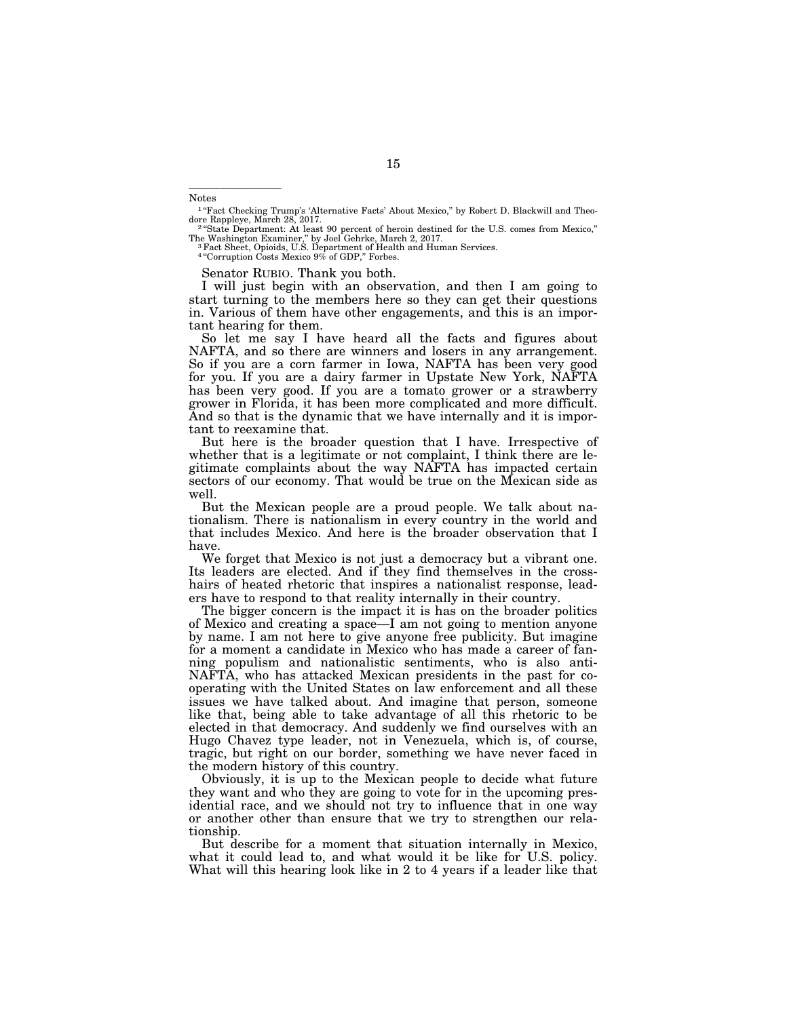Notes

—————————

<sup>1</sup> "Fact Checking Trump's 'Alternative Facts' About Mexico," by Robert D. Blackwill and Theo-<br>dore Rappleye, March 28, 2017.

<sup>2</sup> "State Department: At least 90 percent of heroin destined for the U.S. comes from Mexico," The Washington Examiner,'' by Joel Gehrke, March 2, 2017. 3Fact Sheet, Opioids, U.S. Department of Health and Human Services.

4 ''Corruption Costs Mexico 9% of GDP,'' Forbes.

Senator RUBIO. Thank you both.

I will just begin with an observation, and then I am going to start turning to the members here so they can get their questions in. Various of them have other engagements, and this is an important hearing for them.

So let me say I have heard all the facts and figures about NAFTA, and so there are winners and losers in any arrangement. So if you are a corn farmer in Iowa, NAFTA has been very good for you. If you are a dairy farmer in Upstate New York, NAFTA has been very good. If you are a tomato grower or a strawberry grower in Florida, it has been more complicated and more difficult. And so that is the dynamic that we have internally and it is important to reexamine that.

But here is the broader question that I have. Irrespective of whether that is a legitimate or not complaint, I think there are legitimate complaints about the way NAFTA has impacted certain sectors of our economy. That would be true on the Mexican side as well.

But the Mexican people are a proud people. We talk about nationalism. There is nationalism in every country in the world and that includes Mexico. And here is the broader observation that I have.

We forget that Mexico is not just a democracy but a vibrant one. Its leaders are elected. And if they find themselves in the crosshairs of heated rhetoric that inspires a nationalist response, leaders have to respond to that reality internally in their country.

The bigger concern is the impact it is has on the broader politics of Mexico and creating a space—I am not going to mention anyone by name. I am not here to give anyone free publicity. But imagine for a moment a candidate in Mexico who has made a career of fanning populism and nationalistic sentiments, who is also anti-NAFTA, who has attacked Mexican presidents in the past for cooperating with the United States on law enforcement and all these issues we have talked about. And imagine that person, someone like that, being able to take advantage of all this rhetoric to be elected in that democracy. And suddenly we find ourselves with an Hugo Chavez type leader, not in Venezuela, which is, of course, tragic, but right on our border, something we have never faced in the modern history of this country.

Obviously, it is up to the Mexican people to decide what future they want and who they are going to vote for in the upcoming presidential race, and we should not try to influence that in one way or another other than ensure that we try to strengthen our relationship.

But describe for a moment that situation internally in Mexico, what it could lead to, and what would it be like for U.S. policy. What will this hearing look like in 2 to 4 years if a leader like that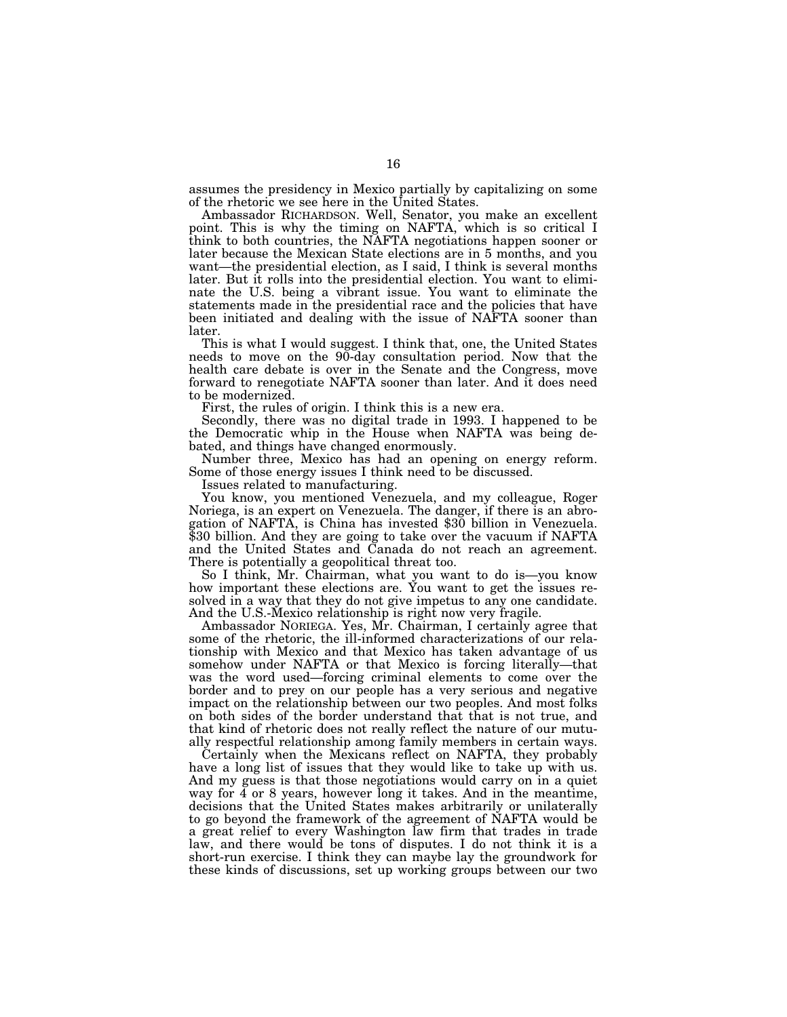assumes the presidency in Mexico partially by capitalizing on some of the rhetoric we see here in the United States.

Ambassador RICHARDSON. Well, Senator, you make an excellent point. This is why the timing on NAFTA, which is so critical I think to both countries, the NAFTA negotiations happen sooner or later because the Mexican State elections are in 5 months, and you want—the presidential election, as I said, I think is several months later. But it rolls into the presidential election. You want to eliminate the U.S. being a vibrant issue. You want to eliminate the statements made in the presidential race and the policies that have been initiated and dealing with the issue of NAFTA sooner than later.

This is what I would suggest. I think that, one, the United States needs to move on the 90-day consultation period. Now that the health care debate is over in the Senate and the Congress, move forward to renegotiate NAFTA sooner than later. And it does need to be modernized.

First, the rules of origin. I think this is a new era.

Secondly, there was no digital trade in 1993. I happened to be the Democratic whip in the House when NAFTA was being debated, and things have changed enormously.

Number three, Mexico has had an opening on energy reform. Some of those energy issues I think need to be discussed.

Issues related to manufacturing.

You know, you mentioned Venezuela, and my colleague, Roger Noriega, is an expert on Venezuela. The danger, if there is an abrogation of NAFTA, is China has invested \$30 billion in Venezuela. \$30 billion. And they are going to take over the vacuum if NAFTA and the United States and Canada do not reach an agreement. There is potentially a geopolitical threat too.

So I think, Mr. Chairman, what you want to do is—you know how important these elections are. You want to get the issues resolved in a way that they do not give impetus to any one candidate. And the U.S.-Mexico relationship is right now very fragile.

Ambassador NORIEGA. Yes, Mr. Chairman, I certainly agree that some of the rhetoric, the ill-informed characterizations of our relationship with Mexico and that Mexico has taken advantage of us somehow under NAFTA or that Mexico is forcing literally—that was the word used—forcing criminal elements to come over the border and to prey on our people has a very serious and negative impact on the relationship between our two peoples. And most folks on both sides of the border understand that that is not true, and that kind of rhetoric does not really reflect the nature of our mutually respectful relationship among family members in certain ways.

Certainly when the Mexicans reflect on NAFTA, they probably have a long list of issues that they would like to take up with us. And my guess is that those negotiations would carry on in a quiet way for 4 or 8 years, however long it takes. And in the meantime, decisions that the United States makes arbitrarily or unilaterally to go beyond the framework of the agreement of NAFTA would be a great relief to every Washington law firm that trades in trade law, and there would be tons of disputes. I do not think it is a short-run exercise. I think they can maybe lay the groundwork for these kinds of discussions, set up working groups between our two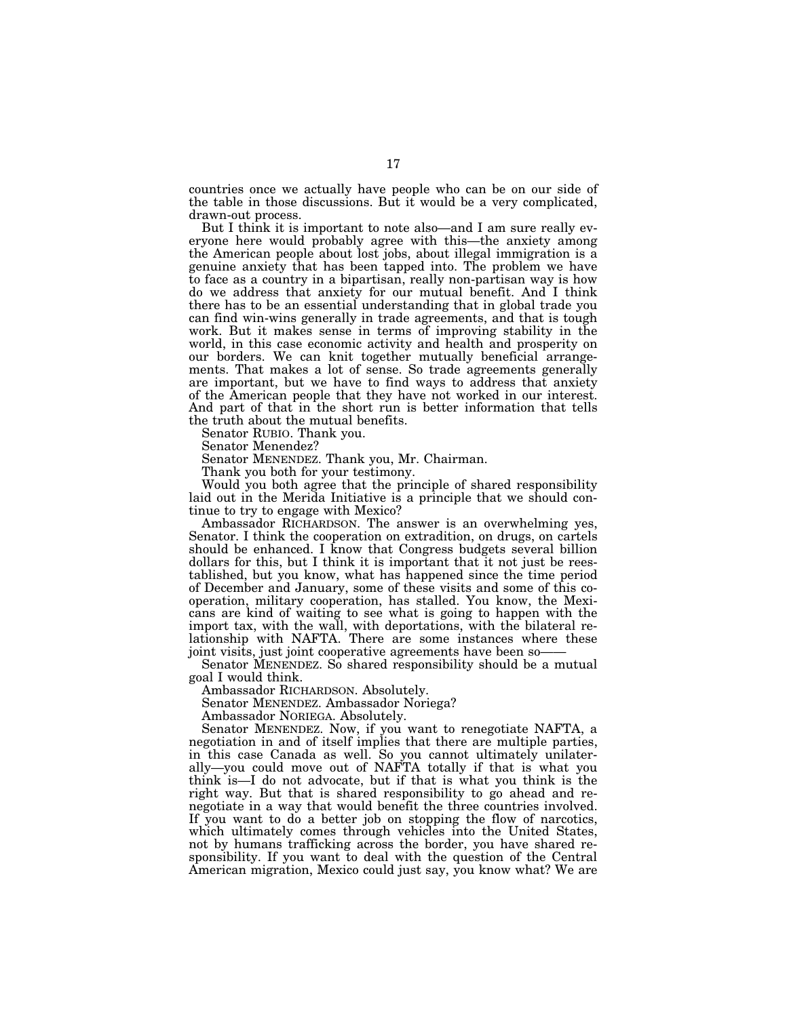countries once we actually have people who can be on our side of the table in those discussions. But it would be a very complicated, drawn-out process.

But I think it is important to note also—and I am sure really everyone here would probably agree with this—the anxiety among the American people about lost jobs, about illegal immigration is a genuine anxiety that has been tapped into. The problem we have to face as a country in a bipartisan, really non-partisan way is how do we address that anxiety for our mutual benefit. And I think there has to be an essential understanding that in global trade you can find win-wins generally in trade agreements, and that is tough work. But it makes sense in terms of improving stability in the world, in this case economic activity and health and prosperity on our borders. We can knit together mutually beneficial arrangements. That makes a lot of sense. So trade agreements generally are important, but we have to find ways to address that anxiety of the American people that they have not worked in our interest. And part of that in the short run is better information that tells the truth about the mutual benefits.

Senator RUBIO. Thank you.

Senator Menendez?

Senator MENENDEZ. Thank you, Mr. Chairman.

Thank you both for your testimony.

Would you both agree that the principle of shared responsibility laid out in the Merida Initiative is a principle that we should continue to try to engage with Mexico?

Ambassador RICHARDSON. The answer is an overwhelming yes, Senator. I think the cooperation on extradition, on drugs, on cartels should be enhanced. I know that Congress budgets several billion dollars for this, but I think it is important that it not just be reestablished, but you know, what has happened since the time period of December and January, some of these visits and some of this cooperation, military cooperation, has stalled. You know, the Mexicans are kind of waiting to see what is going to happen with the import tax, with the wall, with deportations, with the bilateral relationship with NAFTA. There are some instances where these joint visits, just joint cooperative agreements have been so——

Senator MENENDEZ. So shared responsibility should be a mutual goal I would think.

Ambassador RICHARDSON. Absolutely.

Senator MENENDEZ. Ambassador Noriega?

Ambassador NORIEGA. Absolutely.

Senator MENENDEZ. Now, if you want to renegotiate NAFTA, a negotiation in and of itself implies that there are multiple parties, in this case Canada as well. So you cannot ultimately unilaterally—you could move out of NAFTA totally if that is what you think is—I do not advocate, but if that is what you think is the right way. But that is shared responsibility to go ahead and renegotiate in a way that would benefit the three countries involved. If you want to do a better job on stopping the flow of narcotics, which ultimately comes through vehicles into the United States, not by humans trafficking across the border, you have shared responsibility. If you want to deal with the question of the Central American migration, Mexico could just say, you know what? We are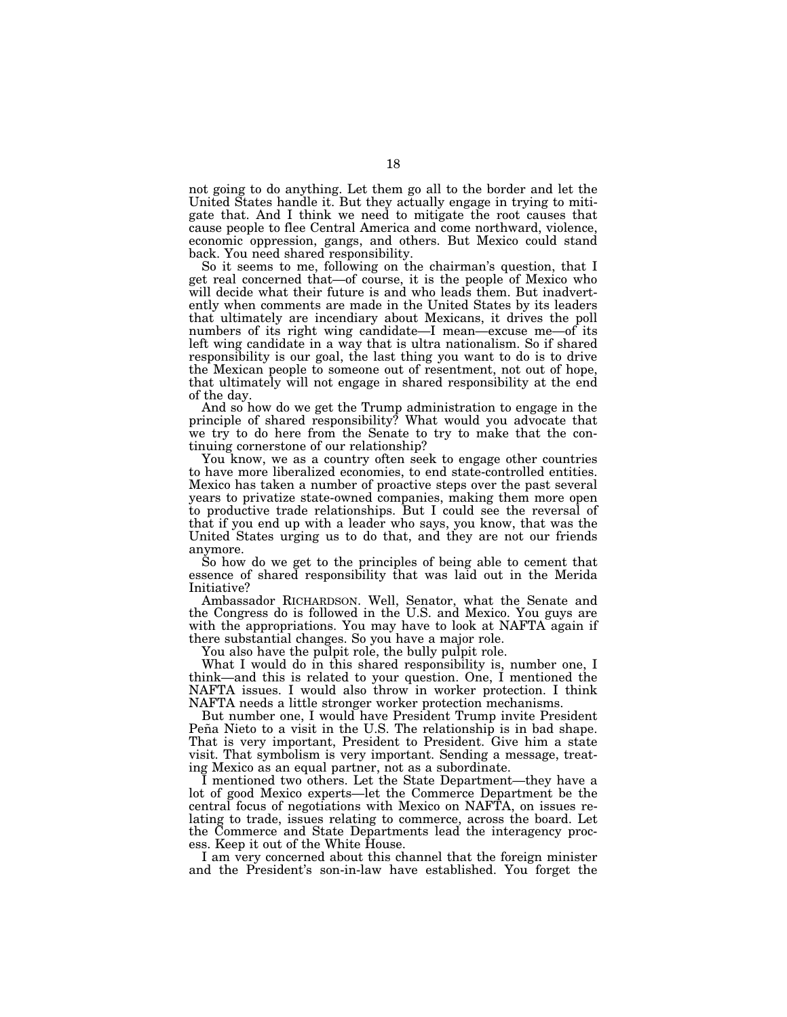not going to do anything. Let them go all to the border and let the United States handle it. But they actually engage in trying to mitigate that. And I think we need to mitigate the root causes that cause people to flee Central America and come northward, violence, economic oppression, gangs, and others. But Mexico could stand back. You need shared responsibility.

So it seems to me, following on the chairman's question, that I get real concerned that—of course, it is the people of Mexico who will decide what their future is and who leads them. But inadvertently when comments are made in the United States by its leaders that ultimately are incendiary about Mexicans, it drives the poll numbers of its right wing candidate—I mean—excuse me—of its left wing candidate in a way that is ultra nationalism. So if shared responsibility is our goal, the last thing you want to do is to drive the Mexican people to someone out of resentment, not out of hope, that ultimately will not engage in shared responsibility at the end of the day.

And so how do we get the Trump administration to engage in the principle of shared responsibility? What would you advocate that we try to do here from the Senate to try to make that the continuing cornerstone of our relationship?

You know, we as a country often seek to engage other countries to have more liberalized economies, to end state-controlled entities. Mexico has taken a number of proactive steps over the past several years to privatize state-owned companies, making them more open to productive trade relationships. But I could see the reversal of that if you end up with a leader who says, you know, that was the United States urging us to do that, and they are not our friends anymore.

So how do we get to the principles of being able to cement that essence of shared responsibility that was laid out in the Merida Initiative?

Ambassador RICHARDSON. Well, Senator, what the Senate and the Congress do is followed in the U.S. and Mexico. You guys are with the appropriations. You may have to look at NAFTA again if there substantial changes. So you have a major role.

You also have the pulpit role, the bully pulpit role.

What I would do in this shared responsibility is, number one, I think—and this is related to your question. One, I mentioned the NAFTA issues. I would also throw in worker protection. I think NAFTA needs a little stronger worker protection mechanisms.

But number one, I would have President Trump invite President Peña Nieto to a visit in the U.S. The relationship is in bad shape. That is very important, President to President. Give him a state visit. That symbolism is very important. Sending a message, treating Mexico as an equal partner, not as a subordinate.

I mentioned two others. Let the State Department—they have a lot of good Mexico experts—let the Commerce Department be the central focus of negotiations with Mexico on NAFTA, on issues relating to trade, issues relating to commerce, across the board. Let the Commerce and State Departments lead the interagency process. Keep it out of the White House.

I am very concerned about this channel that the foreign minister and the President's son-in-law have established. You forget the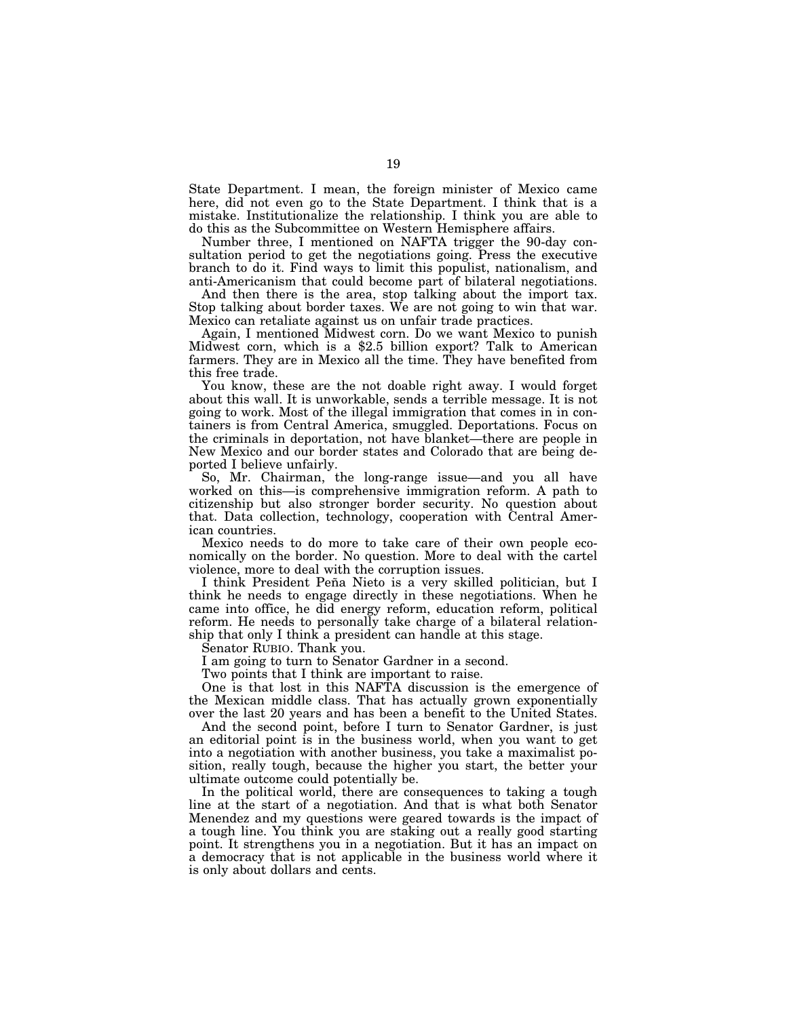State Department. I mean, the foreign minister of Mexico came here, did not even go to the State Department. I think that is a mistake. Institutionalize the relationship. I think you are able to do this as the Subcommittee on Western Hemisphere affairs.

Number three, I mentioned on NAFTA trigger the 90-day consultation period to get the negotiations going. Press the executive branch to do it. Find ways to limit this populist, nationalism, and anti-Americanism that could become part of bilateral negotiations.

And then there is the area, stop talking about the import tax. Stop talking about border taxes. We are not going to win that war. Mexico can retaliate against us on unfair trade practices.

Again, I mentioned Midwest corn. Do we want Mexico to punish Midwest corn, which is a \$2.5 billion export? Talk to American farmers. They are in Mexico all the time. They have benefited from this free trade.

You know, these are the not doable right away. I would forget about this wall. It is unworkable, sends a terrible message. It is not going to work. Most of the illegal immigration that comes in in containers is from Central America, smuggled. Deportations. Focus on the criminals in deportation, not have blanket—there are people in New Mexico and our border states and Colorado that are being deported I believe unfairly.

So, Mr. Chairman, the long-range issue—and you all have worked on this—is comprehensive immigration reform. A path to citizenship but also stronger border security. No question about that. Data collection, technology, cooperation with Central American countries.

Mexico needs to do more to take care of their own people economically on the border. No question. More to deal with the cartel violence, more to deal with the corruption issues.

I think President Peña Nieto is a very skilled politician, but I think he needs to engage directly in these negotiations. When he came into office, he did energy reform, education reform, political reform. He needs to personally take charge of a bilateral relationship that only I think a president can handle at this stage.

Senator RUBIO. Thank you.

I am going to turn to Senator Gardner in a second.

Two points that I think are important to raise.

One is that lost in this NAFTA discussion is the emergence of the Mexican middle class. That has actually grown exponentially over the last 20 years and has been a benefit to the United States.

And the second point, before I turn to Senator Gardner, is just an editorial point is in the business world, when you want to get into a negotiation with another business, you take a maximalist position, really tough, because the higher you start, the better your ultimate outcome could potentially be.

In the political world, there are consequences to taking a tough line at the start of a negotiation. And that is what both Senator Menendez and my questions were geared towards is the impact of a tough line. You think you are staking out a really good starting point. It strengthens you in a negotiation. But it has an impact on a democracy that is not applicable in the business world where it is only about dollars and cents.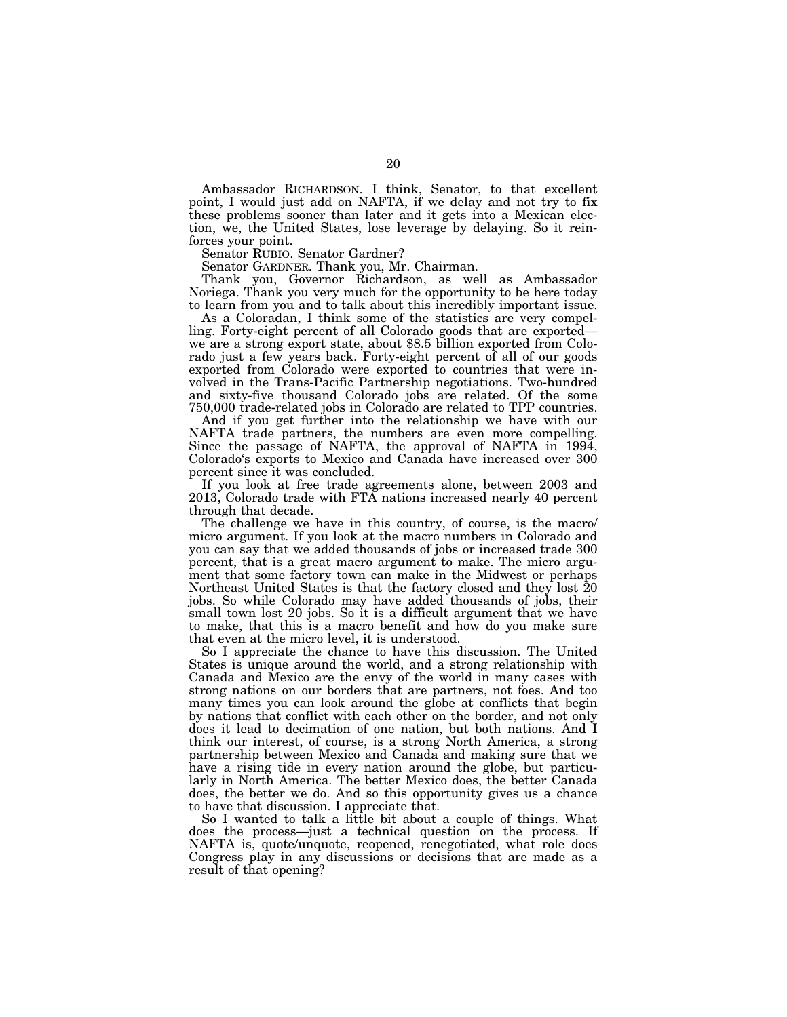Ambassador RICHARDSON. I think, Senator, to that excellent point, I would just add on NAFTA, if we delay and not try to fix these problems sooner than later and it gets into a Mexican election, we, the United States, lose leverage by delaying. So it reinforces your point.

Senator RUBIO. Senator Gardner?

Senator GARDNER. Thank you, Mr. Chairman.

Thank you, Governor Richardson, as well as Ambassador Noriega. Thank you very much for the opportunity to be here today to learn from you and to talk about this incredibly important issue.

As a Coloradan, I think some of the statistics are very compelling. Forty-eight percent of all Colorado goods that are exported we are a strong export state, about \$8.5 billion exported from Colorado just a few years back. Forty-eight percent of all of our goods exported from Colorado were exported to countries that were involved in the Trans-Pacific Partnership negotiations. Two-hundred and sixty-five thousand Colorado jobs are related. Of the some 750,000 trade-related jobs in Colorado are related to TPP countries.

And if you get further into the relationship we have with our NAFTA trade partners, the numbers are even more compelling. Since the passage of NAFTA, the approval of NAFTA in 1994, Colorado's exports to Mexico and Canada have increased over 300 percent since it was concluded.

If you look at free trade agreements alone, between 2003 and 2013, Colorado trade with FTA nations increased nearly 40 percent through that decade.

The challenge we have in this country, of course, is the macro/ micro argument. If you look at the macro numbers in Colorado and you can say that we added thousands of jobs or increased trade 300 percent, that is a great macro argument to make. The micro argument that some factory town can make in the Midwest or perhaps Northeast United States is that the factory closed and they lost 20 jobs. So while Colorado may have added thousands of jobs, their small town lost 20 jobs. So it is a difficult argument that we have to make, that this is a macro benefit and how do you make sure that even at the micro level, it is understood.

So I appreciate the chance to have this discussion. The United States is unique around the world, and a strong relationship with Canada and Mexico are the envy of the world in many cases with strong nations on our borders that are partners, not foes. And too many times you can look around the globe at conflicts that begin by nations that conflict with each other on the border, and not only does it lead to decimation of one nation, but both nations. And I think our interest, of course, is a strong North America, a strong partnership between Mexico and Canada and making sure that we have a rising tide in every nation around the globe, but particularly in North America. The better Mexico does, the better Canada does, the better we do. And so this opportunity gives us a chance to have that discussion. I appreciate that.

So I wanted to talk a little bit about a couple of things. What does the process—just a technical question on the process. If NAFTA is, quote/unquote, reopened, renegotiated, what role does Congress play in any discussions or decisions that are made as a result of that opening?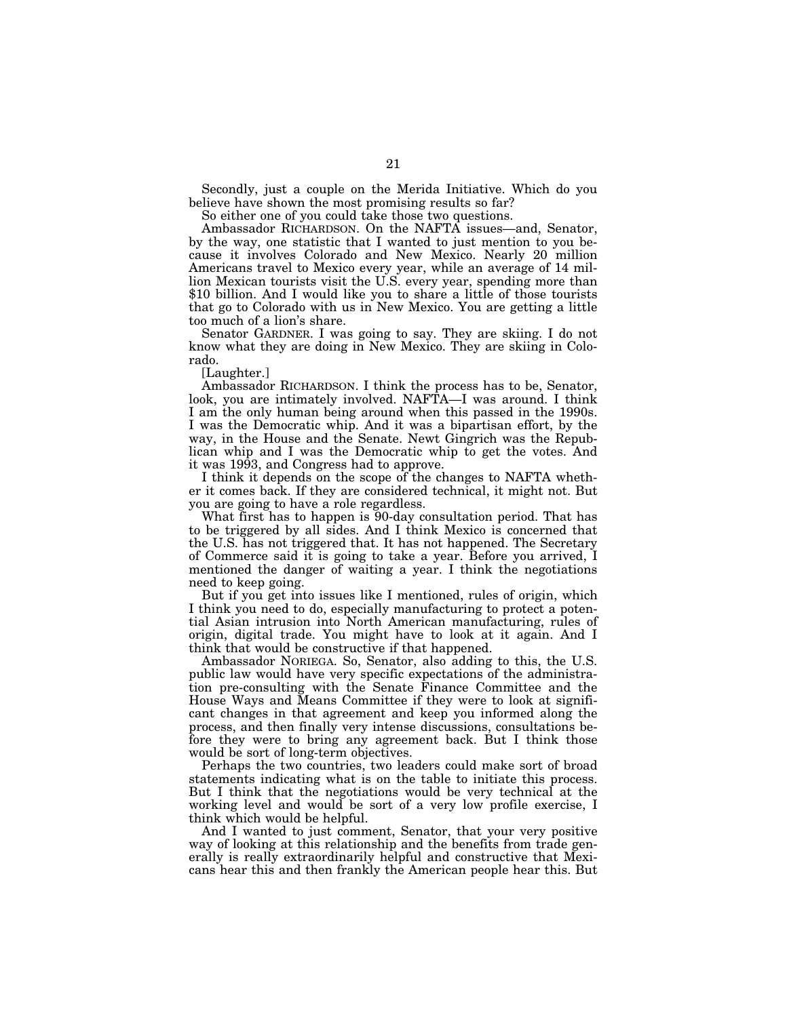Secondly, just a couple on the Merida Initiative. Which do you believe have shown the most promising results so far?

So either one of you could take those two questions.

Ambassador RICHARDSON. On the NAFTA issues—and, Senator, by the way, one statistic that I wanted to just mention to you because it involves Colorado and New Mexico. Nearly 20 million Americans travel to Mexico every year, while an average of 14 million Mexican tourists visit the U.S. every year, spending more than \$10 billion. And I would like you to share a little of those tourists that go to Colorado with us in New Mexico. You are getting a little too much of a lion's share.

Senator GARDNER. I was going to say. They are skiing. I do not know what they are doing in New Mexico. They are skiing in Colorado.

[Laughter.]

Ambassador RICHARDSON. I think the process has to be, Senator, look, you are intimately involved. NAFTA—I was around. I think I am the only human being around when this passed in the 1990s. I was the Democratic whip. And it was a bipartisan effort, by the way, in the House and the Senate. Newt Gingrich was the Republican whip and I was the Democratic whip to get the votes. And it was 1993, and Congress had to approve.

I think it depends on the scope of the changes to NAFTA whether it comes back. If they are considered technical, it might not. But you are going to have a role regardless.

What first has to happen is 90-day consultation period. That has to be triggered by all sides. And I think Mexico is concerned that the U.S. has not triggered that. It has not happened. The Secretary of Commerce said it is going to take a year. Before you arrived, I mentioned the danger of waiting a year. I think the negotiations need to keep going.

But if you get into issues like I mentioned, rules of origin, which I think you need to do, especially manufacturing to protect a potential Asian intrusion into North American manufacturing, rules of origin, digital trade. You might have to look at it again. And I think that would be constructive if that happened.

Ambassador NORIEGA. So, Senator, also adding to this, the U.S. public law would have very specific expectations of the administration pre-consulting with the Senate Finance Committee and the House Ways and Means Committee if they were to look at significant changes in that agreement and keep you informed along the process, and then finally very intense discussions, consultations before they were to bring any agreement back. But I think those would be sort of long-term objectives.

Perhaps the two countries, two leaders could make sort of broad statements indicating what is on the table to initiate this process. But I think that the negotiations would be very technical at the working level and would be sort of a very low profile exercise, I think which would be helpful.

And I wanted to just comment, Senator, that your very positive way of looking at this relationship and the benefits from trade generally is really extraordinarily helpful and constructive that Mexicans hear this and then frankly the American people hear this. But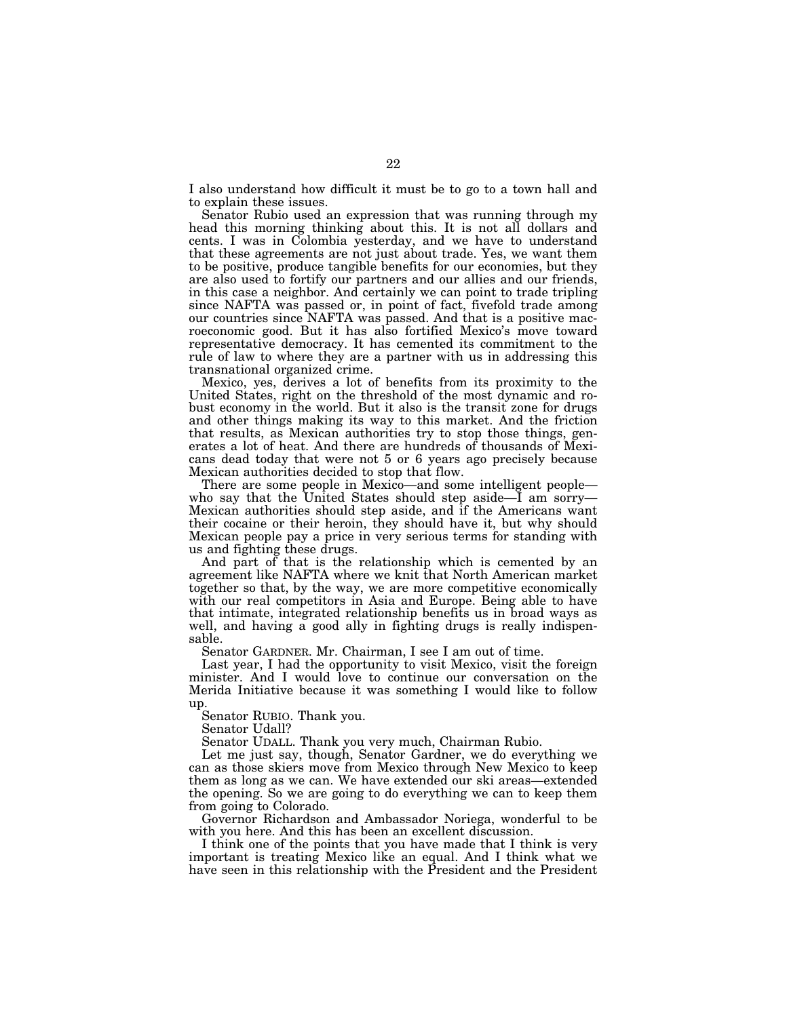I also understand how difficult it must be to go to a town hall and to explain these issues.

Senator Rubio used an expression that was running through my head this morning thinking about this. It is not all dollars and cents. I was in Colombia yesterday, and we have to understand that these agreements are not just about trade. Yes, we want them to be positive, produce tangible benefits for our economies, but they are also used to fortify our partners and our allies and our friends, in this case a neighbor. And certainly we can point to trade tripling since NAFTA was passed or, in point of fact, fivefold trade among our countries since NAFTA was passed. And that is a positive macroeconomic good. But it has also fortified Mexico's move toward representative democracy. It has cemented its commitment to the rule of law to where they are a partner with us in addressing this transnational organized crime.

Mexico, yes, derives a lot of benefits from its proximity to the United States, right on the threshold of the most dynamic and robust economy in the world. But it also is the transit zone for drugs and other things making its way to this market. And the friction that results, as Mexican authorities try to stop those things, generates a lot of heat. And there are hundreds of thousands of Mexicans dead today that were not 5 or 6 years ago precisely because Mexican authorities decided to stop that flow.

There are some people in Mexico—and some intelligent people who say that the United States should step aside—I am sorry— Mexican authorities should step aside, and if the Americans want their cocaine or their heroin, they should have it, but why should Mexican people pay a price in very serious terms for standing with us and fighting these drugs.

And part of that is the relationship which is cemented by an agreement like NAFTA where we knit that North American market together so that, by the way, we are more competitive economically with our real competitors in Asia and Europe. Being able to have that intimate, integrated relationship benefits us in broad ways as well, and having a good ally in fighting drugs is really indispensable.

Senator GARDNER. Mr. Chairman, I see I am out of time.

Last year, I had the opportunity to visit Mexico, visit the foreign minister. And I would love to continue our conversation on the Merida Initiative because it was something I would like to follow up.

Senator RUBIO. Thank you.

Senator Udall?

Senator UDALL. Thank you very much, Chairman Rubio.

Let me just say, though, Senator Gardner, we do everything we can as those skiers move from Mexico through New Mexico to keep them as long as we can. We have extended our ski areas—extended the opening. So we are going to do everything we can to keep them from going to Colorado.

Governor Richardson and Ambassador Noriega, wonderful to be with you here. And this has been an excellent discussion.

I think one of the points that you have made that I think is very important is treating Mexico like an equal. And I think what we have seen in this relationship with the President and the President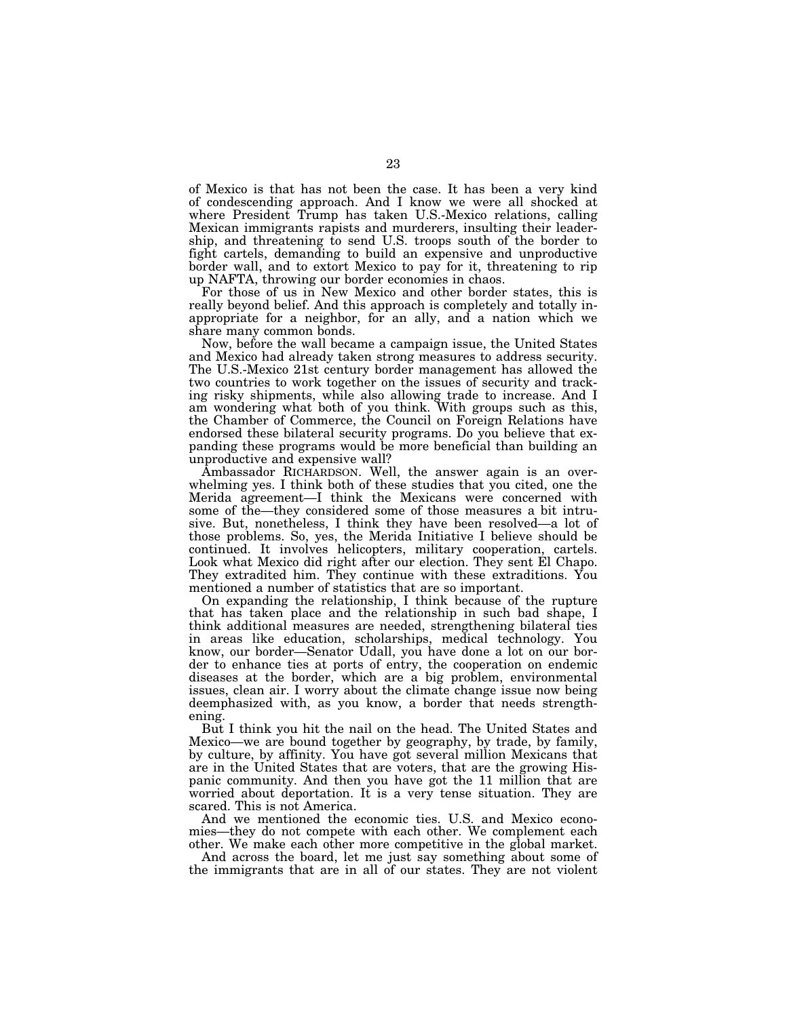of Mexico is that has not been the case. It has been a very kind of condescending approach. And I know we were all shocked at where President Trump has taken U.S.-Mexico relations, calling Mexican immigrants rapists and murderers, insulting their leadership, and threatening to send U.S. troops south of the border to fight cartels, demanding to build an expensive and unproductive border wall, and to extort Mexico to pay for it, threatening to rip up NAFTA, throwing our border economies in chaos.

For those of us in New Mexico and other border states, this is really beyond belief. And this approach is completely and totally inappropriate for a neighbor, for an ally, and a nation which we share many common bonds.

Now, before the wall became a campaign issue, the United States and Mexico had already taken strong measures to address security. The U.S.-Mexico 21st century border management has allowed the two countries to work together on the issues of security and tracking risky shipments, while also allowing trade to increase. And I am wondering what both of you think. With groups such as this, the Chamber of Commerce, the Council on Foreign Relations have endorsed these bilateral security programs. Do you believe that expanding these programs would be more beneficial than building an unproductive and expensive wall?

Ambassador RICHARDSON. Well, the answer again is an overwhelming yes. I think both of these studies that you cited, one the Merida agreement—I think the Mexicans were concerned with some of the—they considered some of those measures a bit intrusive. But, nonetheless, I think they have been resolved—a lot of those problems. So, yes, the Merida Initiative I believe should be continued. It involves helicopters, military cooperation, cartels. Look what Mexico did right after our election. They sent El Chapo. They extradited him. They continue with these extraditions. You mentioned a number of statistics that are so important.

On expanding the relationship, I think because of the rupture that has taken place and the relationship in such bad shape, I think additional measures are needed, strengthening bilateral ties in areas like education, scholarships, medical technology. You know, our border—Senator Udall, you have done a lot on our border to enhance ties at ports of entry, the cooperation on endemic diseases at the border, which are a big problem, environmental issues, clean air. I worry about the climate change issue now being deemphasized with, as you know, a border that needs strengthening.

But I think you hit the nail on the head. The United States and Mexico—we are bound together by geography, by trade, by family, by culture, by affinity. You have got several million Mexicans that are in the United States that are voters, that are the growing Hispanic community. And then you have got the 11 million that are worried about deportation. It is a very tense situation. They are scared. This is not America.

And we mentioned the economic ties. U.S. and Mexico economies—they do not compete with each other. We complement each other. We make each other more competitive in the global market.

And across the board, let me just say something about some of the immigrants that are in all of our states. They are not violent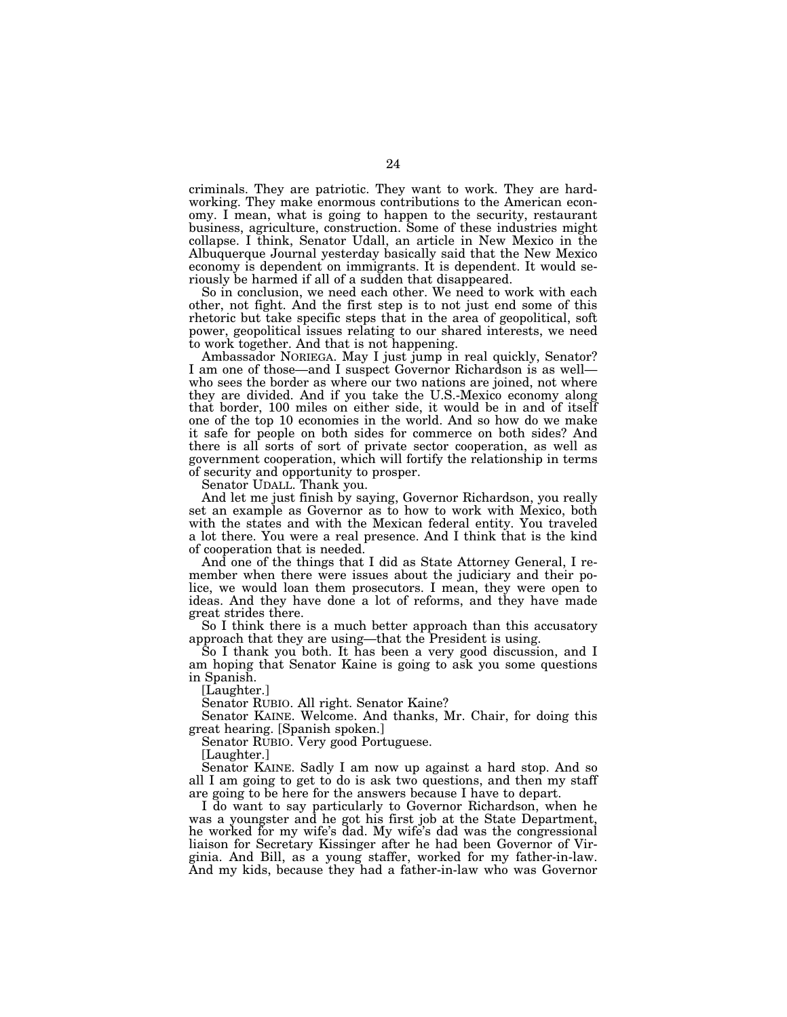criminals. They are patriotic. They want to work. They are hardworking. They make enormous contributions to the American economy. I mean, what is going to happen to the security, restaurant business, agriculture, construction. Some of these industries might collapse. I think, Senator Udall, an article in New Mexico in the Albuquerque Journal yesterday basically said that the New Mexico economy is dependent on immigrants. It is dependent. It would seriously be harmed if all of a sudden that disappeared.

So in conclusion, we need each other. We need to work with each other, not fight. And the first step is to not just end some of this rhetoric but take specific steps that in the area of geopolitical, soft power, geopolitical issues relating to our shared interests, we need to work together. And that is not happening.

Ambassador NORIEGA. May I just jump in real quickly, Senator? I am one of those—and I suspect Governor Richardson is as well who sees the border as where our two nations are joined, not where they are divided. And if you take the U.S.-Mexico economy along that border, 100 miles on either side, it would be in and of itself one of the top 10 economies in the world. And so how do we make it safe for people on both sides for commerce on both sides? And there is all sorts of sort of private sector cooperation, as well as government cooperation, which will fortify the relationship in terms of security and opportunity to prosper.

Senator UDALL. Thank you.

And let me just finish by saying, Governor Richardson, you really set an example as Governor as to how to work with Mexico, both with the states and with the Mexican federal entity. You traveled a lot there. You were a real presence. And I think that is the kind of cooperation that is needed.

And one of the things that I did as State Attorney General, I remember when there were issues about the judiciary and their police, we would loan them prosecutors. I mean, they were open to ideas. And they have done a lot of reforms, and they have made great strides there.

So I think there is a much better approach than this accusatory approach that they are using—that the President is using.

So I thank you both. It has been a very good discussion, and I am hoping that Senator Kaine is going to ask you some questions in Spanish.

[Laughter.]

Senator RUBIO. All right. Senator Kaine?

Senator KAINE. Welcome. And thanks, Mr. Chair, for doing this great hearing. [Spanish spoken.]

Senator RUBIO. Very good Portuguese.

[Laughter.]

Senator KAINE. Sadly I am now up against a hard stop. And so all I am going to get to do is ask two questions, and then my staff are going to be here for the answers because I have to depart.

I do want to say particularly to Governor Richardson, when he was a youngster and he got his first job at the State Department, he worked for my wife's dad. My wife's dad was the congressional liaison for Secretary Kissinger after he had been Governor of Virginia. And Bill, as a young staffer, worked for my father-in-law. And my kids, because they had a father-in-law who was Governor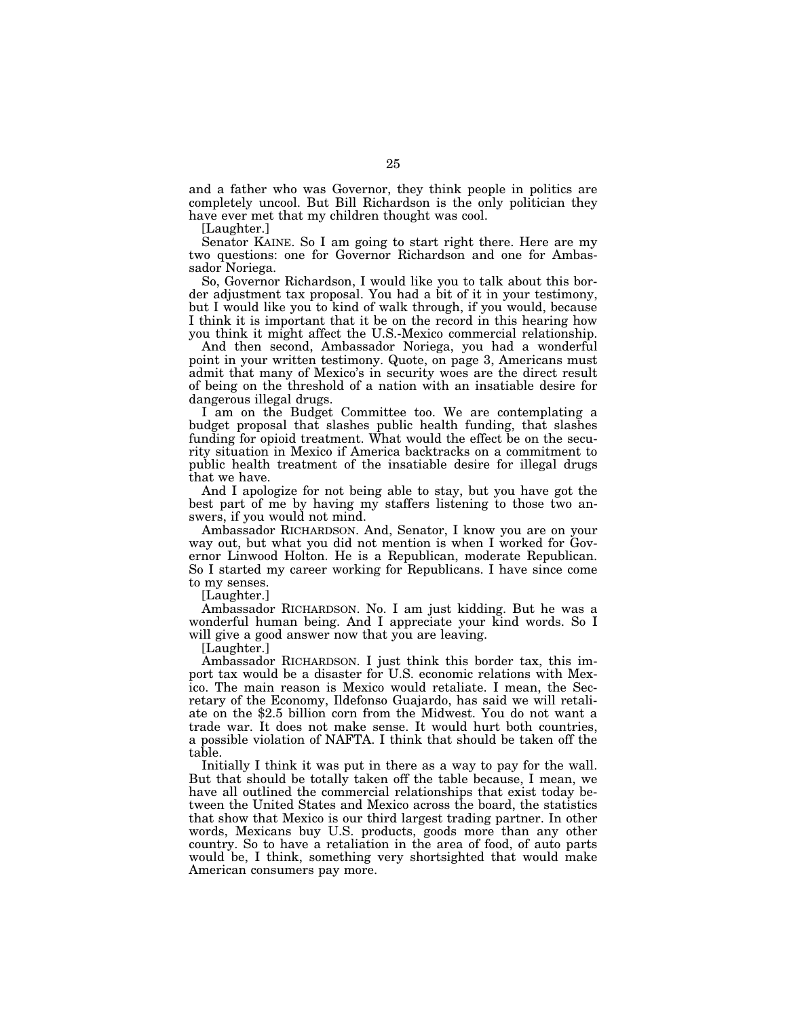and a father who was Governor, they think people in politics are completely uncool. But Bill Richardson is the only politician they have ever met that my children thought was cool.

[Laughter.]

Senator KAINE. So I am going to start right there. Here are my two questions: one for Governor Richardson and one for Ambassador Noriega.

So, Governor Richardson, I would like you to talk about this border adjustment tax proposal. You had a bit of it in your testimony, but I would like you to kind of walk through, if you would, because I think it is important that it be on the record in this hearing how you think it might affect the U.S.-Mexico commercial relationship.

And then second, Ambassador Noriega, you had a wonderful point in your written testimony. Quote, on page 3, Americans must admit that many of Mexico's in security woes are the direct result of being on the threshold of a nation with an insatiable desire for dangerous illegal drugs.

I am on the Budget Committee too. We are contemplating a budget proposal that slashes public health funding, that slashes funding for opioid treatment. What would the effect be on the security situation in Mexico if America backtracks on a commitment to public health treatment of the insatiable desire for illegal drugs that we have.

And I apologize for not being able to stay, but you have got the best part of me by having my staffers listening to those two answers, if you would not mind.

Ambassador RICHARDSON. And, Senator, I know you are on your way out, but what you did not mention is when I worked for Governor Linwood Holton. He is a Republican, moderate Republican. So I started my career working for Republicans. I have since come to my senses.

[Laughter.]

Ambassador RICHARDSON. No. I am just kidding. But he was a wonderful human being. And I appreciate your kind words. So I will give a good answer now that you are leaving.

[Laughter.]

Ambassador RICHARDSON. I just think this border tax, this import tax would be a disaster for U.S. economic relations with Mexico. The main reason is Mexico would retaliate. I mean, the Secretary of the Economy, Ildefonso Guajardo, has said we will retaliate on the \$2.5 billion corn from the Midwest. You do not want a trade war. It does not make sense. It would hurt both countries, a possible violation of NAFTA. I think that should be taken off the table.

Initially I think it was put in there as a way to pay for the wall. But that should be totally taken off the table because, I mean, we have all outlined the commercial relationships that exist today between the United States and Mexico across the board, the statistics that show that Mexico is our third largest trading partner. In other words, Mexicans buy U.S. products, goods more than any other country. So to have a retaliation in the area of food, of auto parts would be, I think, something very shortsighted that would make American consumers pay more.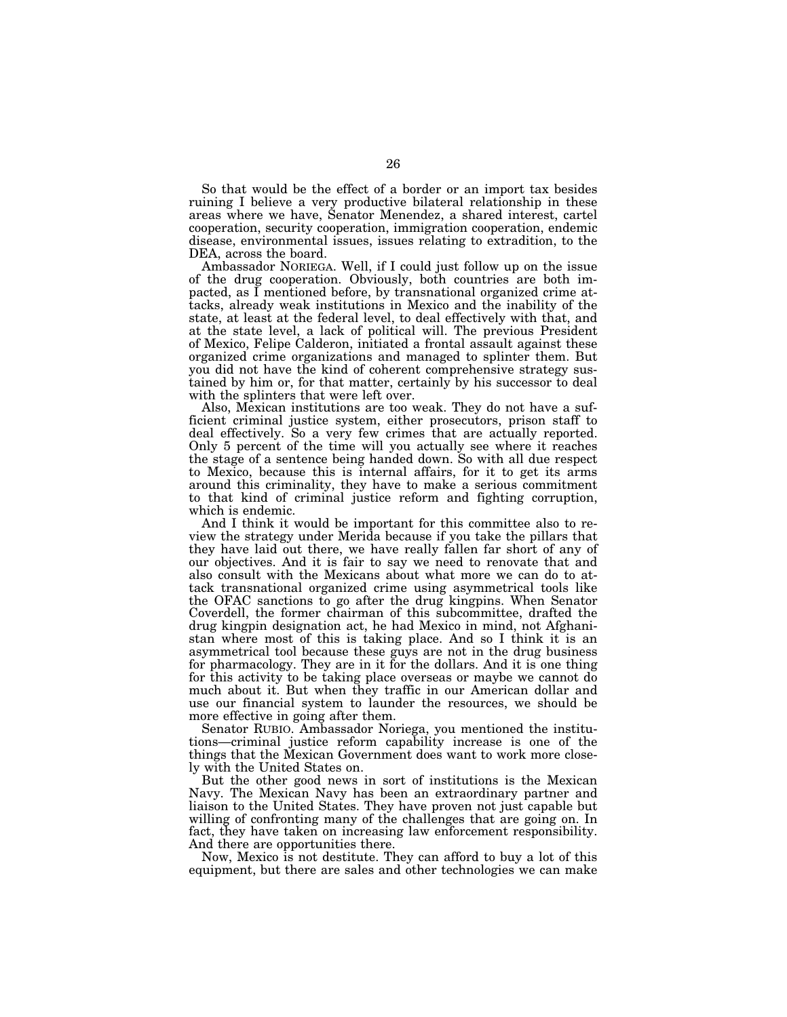So that would be the effect of a border or an import tax besides ruining I believe a very productive bilateral relationship in these areas where we have, Senator Menendez, a shared interest, cartel cooperation, security cooperation, immigration cooperation, endemic disease, environmental issues, issues relating to extradition, to the DEA, across the board.

Ambassador NORIEGA. Well, if I could just follow up on the issue of the drug cooperation. Obviously, both countries are both impacted, as I mentioned before, by transnational organized crime attacks, already weak institutions in Mexico and the inability of the state, at least at the federal level, to deal effectively with that, and at the state level, a lack of political will. The previous President of Mexico, Felipe Calderon, initiated a frontal assault against these organized crime organizations and managed to splinter them. But you did not have the kind of coherent comprehensive strategy sustained by him or, for that matter, certainly by his successor to deal with the splinters that were left over.

Also, Mexican institutions are too weak. They do not have a sufficient criminal justice system, either prosecutors, prison staff to deal effectively. So a very few crimes that are actually reported. Only 5 percent of the time will you actually see where it reaches the stage of a sentence being handed down. So with all due respect to Mexico, because this is internal affairs, for it to get its arms around this criminality, they have to make a serious commitment to that kind of criminal justice reform and fighting corruption, which is endemic.

And I think it would be important for this committee also to review the strategy under Merida because if you take the pillars that they have laid out there, we have really fallen far short of any of our objectives. And it is fair to say we need to renovate that and also consult with the Mexicans about what more we can do to attack transnational organized crime using asymmetrical tools like the OFAC sanctions to go after the drug kingpins. When Senator Coverdell, the former chairman of this subcommittee, drafted the drug kingpin designation act, he had Mexico in mind, not Afghanistan where most of this is taking place. And so I think it is an asymmetrical tool because these guys are not in the drug business for pharmacology. They are in it for the dollars. And it is one thing for this activity to be taking place overseas or maybe we cannot do much about it. But when they traffic in our American dollar and use our financial system to launder the resources, we should be more effective in going after them.

Senator RUBIO. Ambassador Noriega, you mentioned the institutions—criminal justice reform capability increase is one of the things that the Mexican Government does want to work more closely with the United States on.

But the other good news in sort of institutions is the Mexican Navy. The Mexican Navy has been an extraordinary partner and liaison to the United States. They have proven not just capable but willing of confronting many of the challenges that are going on. In fact, they have taken on increasing law enforcement responsibility. And there are opportunities there.

Now, Mexico is not destitute. They can afford to buy a lot of this equipment, but there are sales and other technologies we can make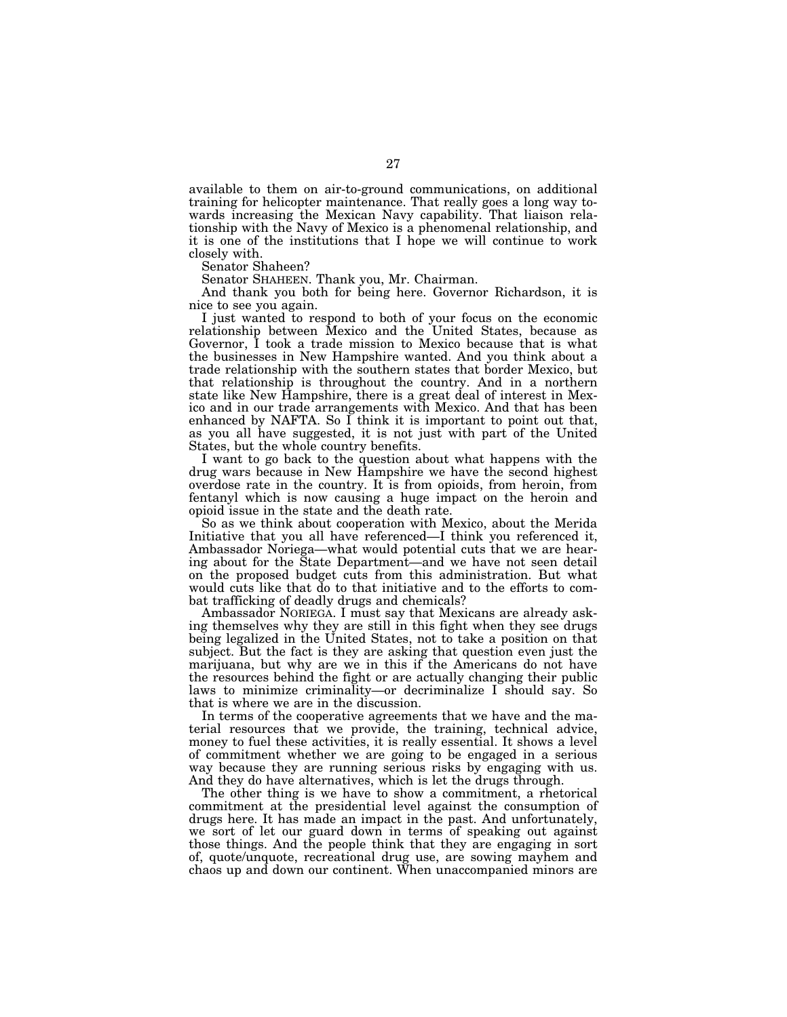available to them on air-to-ground communications, on additional training for helicopter maintenance. That really goes a long way towards increasing the Mexican Navy capability. That liaison relationship with the Navy of Mexico is a phenomenal relationship, and it is one of the institutions that I hope we will continue to work closely with.

Senator Shaheen?

Senator SHAHEEN. Thank you, Mr. Chairman.

And thank you both for being here. Governor Richardson, it is nice to see you again.

I just wanted to respond to both of your focus on the economic relationship between Mexico and the United States, because as Governor, I took a trade mission to Mexico because that is what the businesses in New Hampshire wanted. And you think about a trade relationship with the southern states that border Mexico, but that relationship is throughout the country. And in a northern state like New Hampshire, there is a great deal of interest in Mexico and in our trade arrangements with Mexico. And that has been enhanced by NAFTA. So  $\overline{I}$  think it is important to point out that, as you all have suggested, it is not just with part of the United States, but the whole country benefits.

I want to go back to the question about what happens with the drug wars because in New Hampshire we have the second highest overdose rate in the country. It is from opioids, from heroin, from fentanyl which is now causing a huge impact on the heroin and opioid issue in the state and the death rate.

So as we think about cooperation with Mexico, about the Merida Initiative that you all have referenced—I think you referenced it, Ambassador Noriega—what would potential cuts that we are hearing about for the State Department—and we have not seen detail on the proposed budget cuts from this administration. But what would cuts like that do to that initiative and to the efforts to combat trafficking of deadly drugs and chemicals?

Ambassador NORIEGA. I must say that Mexicans are already asking themselves why they are still in this fight when they see drugs being legalized in the United States, not to take a position on that subject. But the fact is they are asking that question even just the marijuana, but why are we in this if the Americans do not have the resources behind the fight or are actually changing their public laws to minimize criminality—or decriminalize I should say. So that is where we are in the discussion.

In terms of the cooperative agreements that we have and the material resources that we provide, the training, technical advice, money to fuel these activities, it is really essential. It shows a level of commitment whether we are going to be engaged in a serious way because they are running serious risks by engaging with us. And they do have alternatives, which is let the drugs through.

The other thing is we have to show a commitment, a rhetorical commitment at the presidential level against the consumption of drugs here. It has made an impact in the past. And unfortunately, we sort of let our guard down in terms of speaking out against those things. And the people think that they are engaging in sort of, quote/unquote, recreational drug use, are sowing mayhem and chaos up and down our continent. When unaccompanied minors are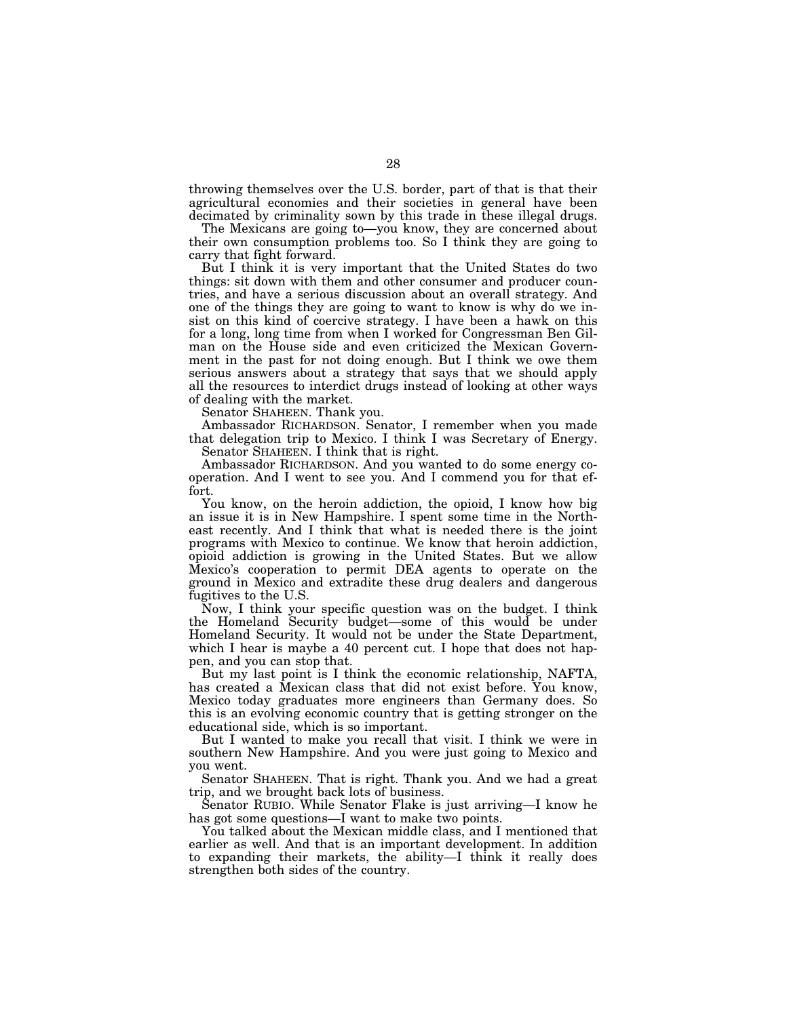throwing themselves over the U.S. border, part of that is that their agricultural economies and their societies in general have been decimated by criminality sown by this trade in these illegal drugs.

The Mexicans are going to—you know, they are concerned about their own consumption problems too. So I think they are going to carry that fight forward.

But I think it is very important that the United States do two things: sit down with them and other consumer and producer countries, and have a serious discussion about an overall strategy. And one of the things they are going to want to know is why do we insist on this kind of coercive strategy. I have been a hawk on this for a long, long time from when I worked for Congressman Ben Gilman on the House side and even criticized the Mexican Government in the past for not doing enough. But I think we owe them serious answers about a strategy that says that we should apply all the resources to interdict drugs instead of looking at other ways of dealing with the market.

Senator SHAHEEN. Thank you.

Ambassador RICHARDSON. Senator, I remember when you made that delegation trip to Mexico. I think I was Secretary of Energy. Senator SHAHEEN. I think that is right.

Ambassador RICHARDSON. And you wanted to do some energy cooperation. And I went to see you. And I commend you for that effort.

You know, on the heroin addiction, the opioid, I know how big an issue it is in New Hampshire. I spent some time in the Northeast recently. And I think that what is needed there is the joint programs with Mexico to continue. We know that heroin addiction, opioid addiction is growing in the United States. But we allow Mexico's cooperation to permit DEA agents to operate on the ground in Mexico and extradite these drug dealers and dangerous fugitives to the U.S.

Now, I think your specific question was on the budget. I think the Homeland Security budget—some of this would be under Homeland Security. It would not be under the State Department, which I hear is maybe a 40 percent cut. I hope that does not happen, and you can stop that.

But my last point is I think the economic relationship, NAFTA, has created a Mexican class that did not exist before. You know, Mexico today graduates more engineers than Germany does. So this is an evolving economic country that is getting stronger on the educational side, which is so important.

But I wanted to make you recall that visit. I think we were in southern New Hampshire. And you were just going to Mexico and you went.

Senator SHAHEEN. That is right. Thank you. And we had a great trip, and we brought back lots of business.

Senator RUBIO. While Senator Flake is just arriving—I know he has got some questions—I want to make two points.

You talked about the Mexican middle class, and I mentioned that earlier as well. And that is an important development. In addition to expanding their markets, the ability—I think it really does strengthen both sides of the country.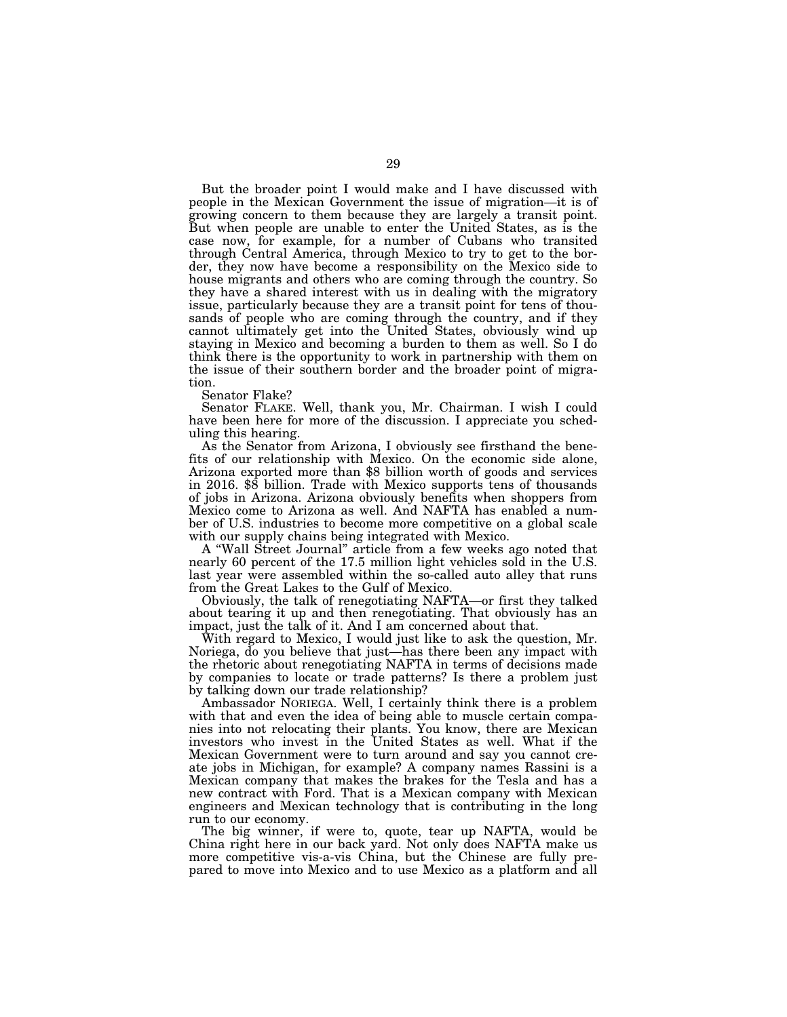But the broader point I would make and I have discussed with people in the Mexican Government the issue of migration—it is of growing concern to them because they are largely a transit point. But when people are unable to enter the United States, as is the case now, for example, for a number of Cubans who transited through Central America, through Mexico to try to get to the border, they now have become a responsibility on the Mexico side to house migrants and others who are coming through the country. So they have a shared interest with us in dealing with the migratory issue, particularly because they are a transit point for tens of thousands of people who are coming through the country, and if they cannot ultimately get into the United States, obviously wind up staying in Mexico and becoming a burden to them as well. So I do think there is the opportunity to work in partnership with them on the issue of their southern border and the broader point of migration.

Senator Flake?

Senator FLAKE. Well, thank you, Mr. Chairman. I wish I could have been here for more of the discussion. I appreciate you scheduling this hearing.

As the Senator from Arizona, I obviously see firsthand the benefits of our relationship with Mexico. On the economic side alone, Arizona exported more than \$8 billion worth of goods and services in 2016. \$8 billion. Trade with Mexico supports tens of thousands of jobs in Arizona. Arizona obviously benefits when shoppers from Mexico come to Arizona as well. And NAFTA has enabled a number of U.S. industries to become more competitive on a global scale with our supply chains being integrated with Mexico.

A ''Wall Street Journal'' article from a few weeks ago noted that nearly 60 percent of the 17.5 million light vehicles sold in the U.S. last year were assembled within the so-called auto alley that runs from the Great Lakes to the Gulf of Mexico.

Obviously, the talk of renegotiating NAFTA—or first they talked about tearing it up and then renegotiating. That obviously has an impact, just the talk of it. And I am concerned about that.

With regard to Mexico, I would just like to ask the question, Mr. Noriega, do you believe that just—has there been any impact with the rhetoric about renegotiating NAFTA in terms of decisions made by companies to locate or trade patterns? Is there a problem just by talking down our trade relationship?

Ambassador NORIEGA. Well, I certainly think there is a problem with that and even the idea of being able to muscle certain companies into not relocating their plants. You know, there are Mexican investors who invest in the United States as well. What if the Mexican Government were to turn around and say you cannot create jobs in Michigan, for example? A company names Rassini is a Mexican company that makes the brakes for the Tesla and has a new contract with Ford. That is a Mexican company with Mexican engineers and Mexican technology that is contributing in the long run to our economy.

The big winner, if were to, quote, tear up NAFTA, would be China right here in our back yard. Not only does NAFTA make us more competitive vis-a-vis China, but the Chinese are fully prepared to move into Mexico and to use Mexico as a platform and all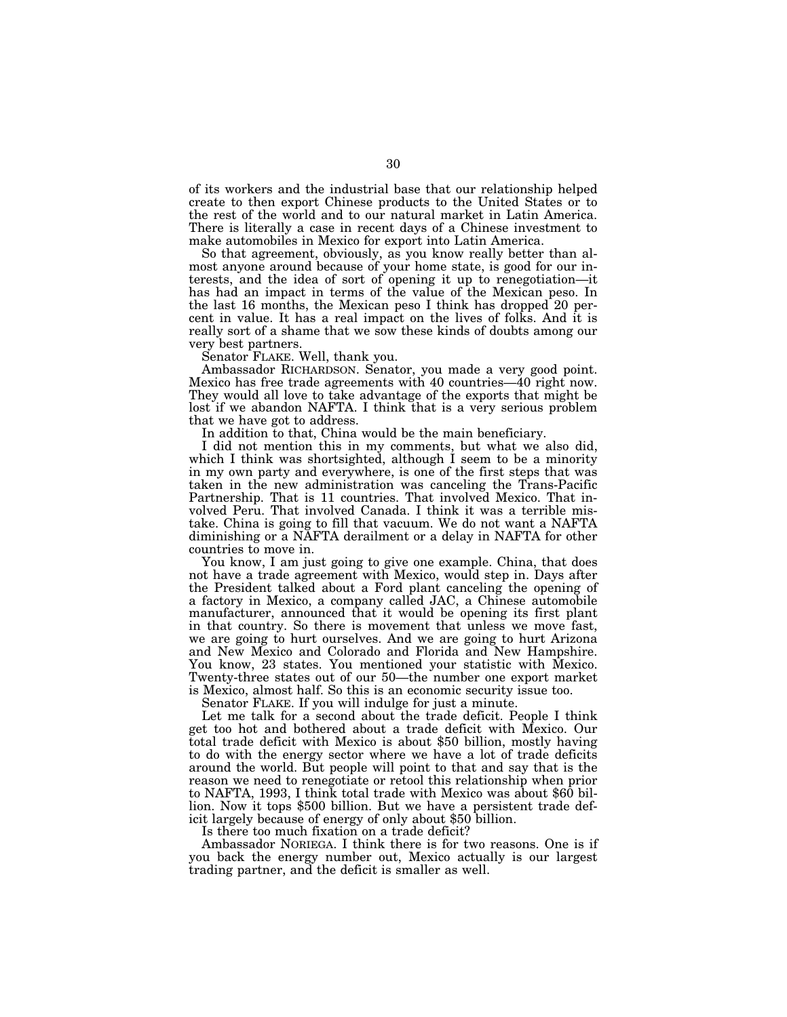of its workers and the industrial base that our relationship helped create to then export Chinese products to the United States or to the rest of the world and to our natural market in Latin America. There is literally a case in recent days of a Chinese investment to make automobiles in Mexico for export into Latin America.

So that agreement, obviously, as you know really better than almost anyone around because of your home state, is good for our interests, and the idea of sort of opening it up to renegotiation—it has had an impact in terms of the value of the Mexican peso. In the last 16 months, the Mexican peso I think has dropped 20 percent in value. It has a real impact on the lives of folks. And it is really sort of a shame that we sow these kinds of doubts among our very best partners.

Senator FLAKE. Well, thank you.

Ambassador RICHARDSON. Senator, you made a very good point. Mexico has free trade agreements with 40 countries—40 right now. They would all love to take advantage of the exports that might be lost if we abandon NAFTA. I think that is a very serious problem that we have got to address.

In addition to that, China would be the main beneficiary.

I did not mention this in my comments, but what we also did, which I think was shortsighted, although I seem to be a minority in my own party and everywhere, is one of the first steps that was taken in the new administration was canceling the Trans-Pacific Partnership. That is 11 countries. That involved Mexico. That involved Peru. That involved Canada. I think it was a terrible mistake. China is going to fill that vacuum. We do not want a NAFTA diminishing or a NAFTA derailment or a delay in NAFTA for other countries to move in.

You know, I am just going to give one example. China, that does not have a trade agreement with Mexico, would step in. Days after the President talked about a Ford plant canceling the opening of a factory in Mexico, a company called JAC, a Chinese automobile manufacturer, announced that it would be opening its first plant in that country. So there is movement that unless we move fast, we are going to hurt ourselves. And we are going to hurt Arizona and New Mexico and Colorado and Florida and New Hampshire. You know, 23 states. You mentioned your statistic with Mexico. Twenty-three states out of our 50—the number one export market is Mexico, almost half. So this is an economic security issue too.

Senator FLAKE. If you will indulge for just a minute.

Let me talk for a second about the trade deficit. People I think get too hot and bothered about a trade deficit with Mexico. Our total trade deficit with Mexico is about \$50 billion, mostly having to do with the energy sector where we have a lot of trade deficits around the world. But people will point to that and say that is the reason we need to renegotiate or retool this relationship when prior to NAFTA, 1993, I think total trade with Mexico was about \$60 billion. Now it tops \$500 billion. But we have a persistent trade deficit largely because of energy of only about \$50 billion.

Is there too much fixation on a trade deficit?

Ambassador NORIEGA. I think there is for two reasons. One is if you back the energy number out, Mexico actually is our largest trading partner, and the deficit is smaller as well.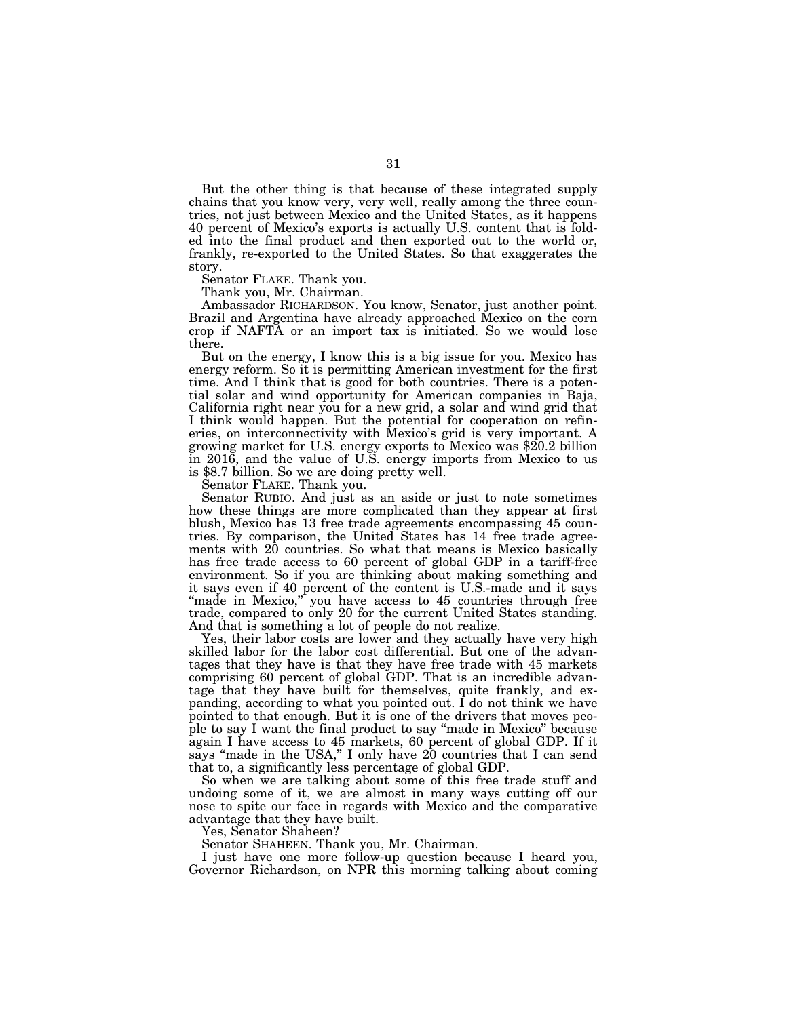But the other thing is that because of these integrated supply chains that you know very, very well, really among the three countries, not just between Mexico and the United States, as it happens 40 percent of Mexico's exports is actually U.S. content that is folded into the final product and then exported out to the world or, frankly, re-exported to the United States. So that exaggerates the story.

Senator FLAKE. Thank you.

Thank you, Mr. Chairman.

Ambassador RICHARDSON. You know, Senator, just another point. Brazil and Argentina have already approached Mexico on the corn crop if NAFTA or an import tax is initiated. So we would lose there.

But on the energy, I know this is a big issue for you. Mexico has energy reform. So it is permitting American investment for the first time. And I think that is good for both countries. There is a potential solar and wind opportunity for American companies in Baja, California right near you for a new grid, a solar and wind grid that I think would happen. But the potential for cooperation on refineries, on interconnectivity with Mexico's grid is very important. A growing market for U.S. energy exports to Mexico was \$20.2 billion in 2016, and the value of U.S. energy imports from Mexico to us is \$8.7 billion. So we are doing pretty well.

Senator FLAKE. Thank you.

Senator RUBIO. And just as an aside or just to note sometimes how these things are more complicated than they appear at first blush, Mexico has 13 free trade agreements encompassing 45 countries. By comparison, the United States has 14 free trade agreements with 20 countries. So what that means is Mexico basically has free trade access to 60 percent of global GDP in a tariff-free environment. So if you are thinking about making something and it says even if 40 percent of the content is U.S.-made and it says "made in Mexico," you have access to 45 countries through free trade, compared to only 20 for the current United States standing. And that is something a lot of people do not realize.

Yes, their labor costs are lower and they actually have very high skilled labor for the labor cost differential. But one of the advantages that they have is that they have free trade with 45 markets comprising 60 percent of global GDP. That is an incredible advantage that they have built for themselves, quite frankly, and expanding, according to what you pointed out. I do not think we have pointed to that enough. But it is one of the drivers that moves people to say I want the final product to say ''made in Mexico'' because again I have access to 45 markets, 60 percent of global GDP. If it says "made in the USA," I only have 20 countries that I can send that to, a significantly less percentage of global GDP.

So when we are talking about some of this free trade stuff and undoing some of it, we are almost in many ways cutting off our nose to spite our face in regards with Mexico and the comparative advantage that they have built.

Yes, Senator Shaheen?

Senator SHAHEEN. Thank you, Mr. Chairman.

I just have one more follow-up question because I heard you, Governor Richardson, on NPR this morning talking about coming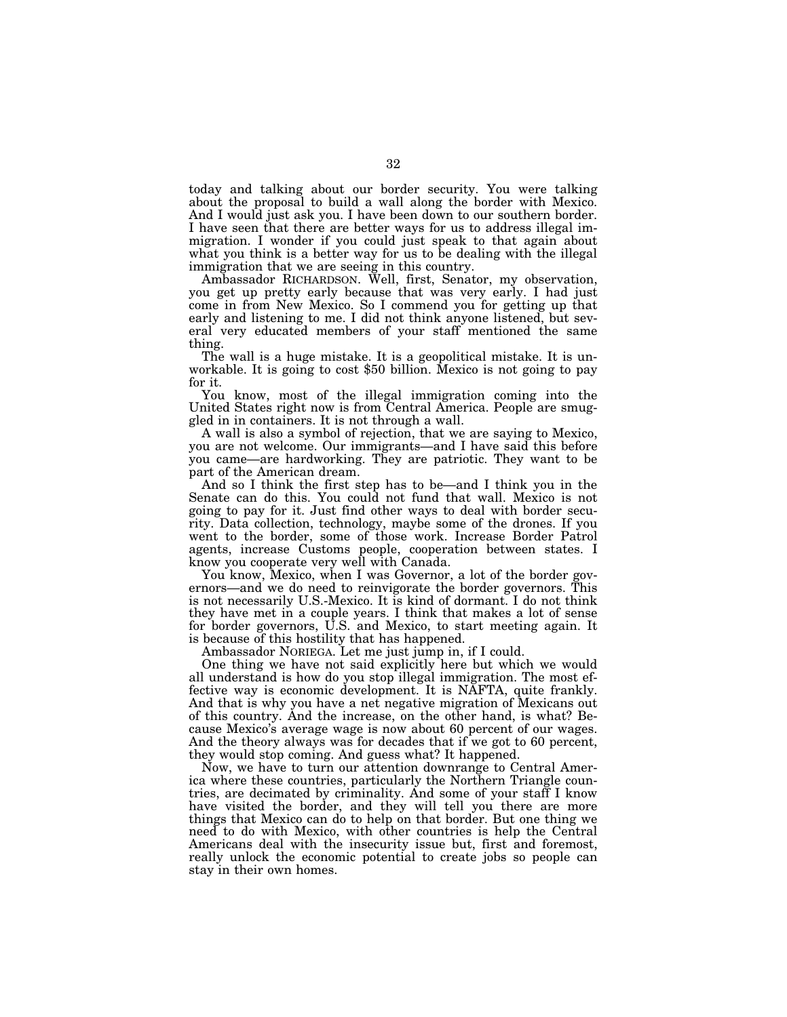today and talking about our border security. You were talking about the proposal to build a wall along the border with Mexico. And I would just ask you. I have been down to our southern border. I have seen that there are better ways for us to address illegal immigration. I wonder if you could just speak to that again about what you think is a better way for us to be dealing with the illegal immigration that we are seeing in this country.

Ambassador RICHARDSON. Well, first, Senator, my observation, you get up pretty early because that was very early. I had just come in from New Mexico. So I commend you for getting up that early and listening to me. I did not think anyone listened, but several very educated members of your staff mentioned the same thing.

The wall is a huge mistake. It is a geopolitical mistake. It is un- workable. It is going to cost \$50 billion. Mexico is not going to pay for it.

You know, most of the illegal immigration coming into the United States right now is from Central America. People are smuggled in in containers. It is not through a wall.

A wall is also a symbol of rejection, that we are saying to Mexico, you are not welcome. Our immigrants—and I have said this before you came—are hardworking. They are patriotic. They want to be part of the American dream.

And so I think the first step has to be—and I think you in the Senate can do this. You could not fund that wall. Mexico is not going to pay for it. Just find other ways to deal with border security. Data collection, technology, maybe some of the drones. If you went to the border, some of those work. Increase Border Patrol agents, increase Customs people, cooperation between states. I know you cooperate very well with Canada.

You know, Mexico, when I was Governor, a lot of the border governors—and we do need to reinvigorate the border governors. This is not necessarily U.S.-Mexico. It is kind of dormant. I do not think they have met in a couple years. I think that makes a lot of sense for border governors, U.S. and Mexico, to start meeting again. It is because of this hostility that has happened.

Ambassador NORIEGA. Let me just jump in, if I could.

One thing we have not said explicitly here but which we would all understand is how do you stop illegal immigration. The most effective way is economic development. It is NAFTA, quite frankly. And that is why you have a net negative migration of Mexicans out of this country. And the increase, on the other hand, is what? Because Mexico's average wage is now about 60 percent of our wages. And the theory always was for decades that if we got to 60 percent, they would stop coming. And guess what? It happened.

Now, we have to turn our attention downrange to Central America where these countries, particularly the Northern Triangle countries, are decimated by criminality. And some of your staff I know have visited the border, and they will tell you there are more things that Mexico can do to help on that border. But one thing we need to do with Mexico, with other countries is help the Central Americans deal with the insecurity issue but, first and foremost, really unlock the economic potential to create jobs so people can stay in their own homes.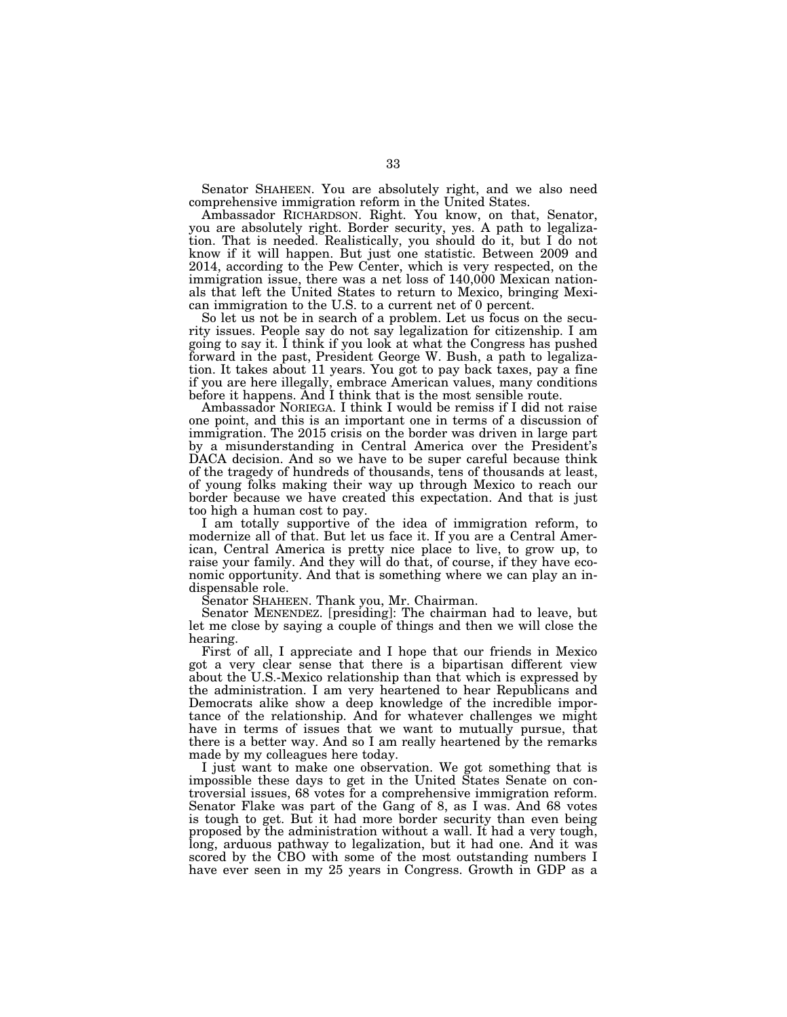Senator SHAHEEN. You are absolutely right, and we also need comprehensive immigration reform in the United States.

Ambassador RICHARDSON. Right. You know, on that, Senator, you are absolutely right. Border security, yes. A path to legalization. That is needed. Realistically, you should do it, but I do not know if it will happen. But just one statistic. Between 2009 and 2014, according to the Pew Center, which is very respected, on the immigration issue, there was a net loss of 140,000 Mexican nationals that left the United States to return to Mexico, bringing Mexican immigration to the U.S. to a current net of 0 percent.

So let us not be in search of a problem. Let us focus on the security issues. People say do not say legalization for citizenship. I am going to say it. I think if you look at what the Congress has pushed forward in the past, President George W. Bush, a path to legalization. It takes about 11 years. You got to pay back taxes, pay a fine if you are here illegally, embrace American values, many conditions before it happens. And I think that is the most sensible route.

Ambassador NORIEGA. I think I would be remiss if I did not raise one point, and this is an important one in terms of a discussion of immigration. The 2015 crisis on the border was driven in large part by a misunderstanding in Central America over the President's  $DACA$  decision. And so we have to be super careful because think of the tragedy of hundreds of thousands, tens of thousands at least, of young folks making their way up through Mexico to reach our border because we have created this expectation. And that is just too high a human cost to pay.

I am totally supportive of the idea of immigration reform, to modernize all of that. But let us face it. If you are a Central American, Central America is pretty nice place to live, to grow up, to raise your family. And they will do that, of course, if they have economic opportunity. And that is something where we can play an indispensable role.

Senator SHAHEEN. Thank you, Mr. Chairman.

Senator MENENDEZ. [presiding]: The chairman had to leave, but let me close by saying a couple of things and then we will close the hearing.

First of all, I appreciate and I hope that our friends in Mexico got a very clear sense that there is a bipartisan different view about the U.S.-Mexico relationship than that which is expressed by the administration. I am very heartened to hear Republicans and Democrats alike show a deep knowledge of the incredible importance of the relationship. And for whatever challenges we might have in terms of issues that we want to mutually pursue, that there is a better way. And so I am really heartened by the remarks made by my colleagues here today.

I just want to make one observation. We got something that is impossible these days to get in the United States Senate on controversial issues, 68 votes for a comprehensive immigration reform. Senator Flake was part of the Gang of 8, as I was. And 68 votes is tough to get. But it had more border security than even being proposed by the administration without a wall. It had a very tough, long, arduous pathway to legalization, but it had one. And it was scored by the CBO with some of the most outstanding numbers I have ever seen in my 25 years in Congress. Growth in GDP as a